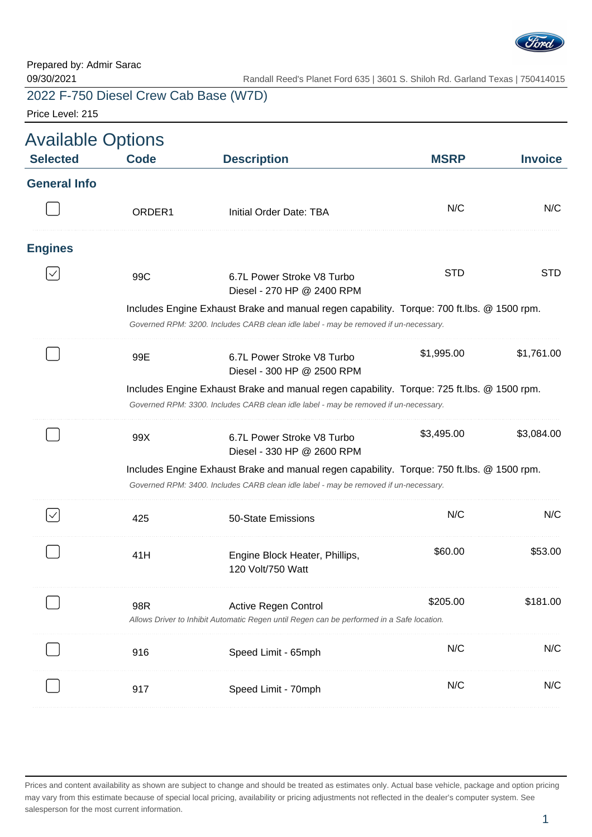

Price Level: 215

| <b>Selected</b>     | <b>Code</b>        | <b>Description</b>                                                                                                                                                                 | <b>MSRP</b> | <b>Invoice</b> |
|---------------------|--------------------|------------------------------------------------------------------------------------------------------------------------------------------------------------------------------------|-------------|----------------|
| <b>General Info</b> |                    |                                                                                                                                                                                    |             |                |
|                     | ORDER <sub>1</sub> | Initial Order Date: TBA                                                                                                                                                            | N/C         | N/C            |
| <b>Engines</b>      |                    |                                                                                                                                                                                    |             |                |
|                     | 99C                | 6.7L Power Stroke V8 Turbo<br>Diesel - 270 HP @ 2400 RPM                                                                                                                           | <b>STD</b>  | <b>STD</b>     |
|                     |                    | Includes Engine Exhaust Brake and manual regen capability. Torque: 700 ft.lbs. @ 1500 rpm.<br>Governed RPM: 3200. Includes CARB clean idle label - may be removed if un-necessary. |             |                |
|                     | 99E                | 6.7L Power Stroke V8 Turbo<br>Diesel - 300 HP @ 2500 RPM                                                                                                                           | \$1,995.00  | \$1,761.00     |
|                     |                    | Includes Engine Exhaust Brake and manual regen capability. Torque: 725 ft.lbs. @ 1500 rpm.                                                                                         |             |                |
|                     |                    | Governed RPM: 3300. Includes CARB clean idle label - may be removed if un-necessary.                                                                                               |             |                |
|                     | 99X                | 6.7L Power Stroke V8 Turbo<br>Diesel - 330 HP @ 2600 RPM                                                                                                                           | \$3,495.00  | \$3,084.00     |
|                     |                    | Includes Engine Exhaust Brake and manual regen capability. Torque: 750 ft.lbs. @ 1500 rpm.<br>Governed RPM: 3400. Includes CARB clean idle label - may be removed if un-necessary. |             |                |
|                     | 425                | 50-State Emissions                                                                                                                                                                 | N/C         | N/C            |
|                     | 41H                | Engine Block Heater, Phillips,<br>120 Volt/750 Watt                                                                                                                                | \$60.00     | \$53.00        |
|                     | 98R                | Active Regen Control<br>Allows Driver to Inhibit Automatic Regen until Regen can be performed in a Safe location.                                                                  | \$205.00    | \$181.00       |
|                     | 916                | Speed Limit - 65mph                                                                                                                                                                | N/C         | N/C            |
|                     | 917                | Speed Limit - 70mph                                                                                                                                                                | N/C         | N/C            |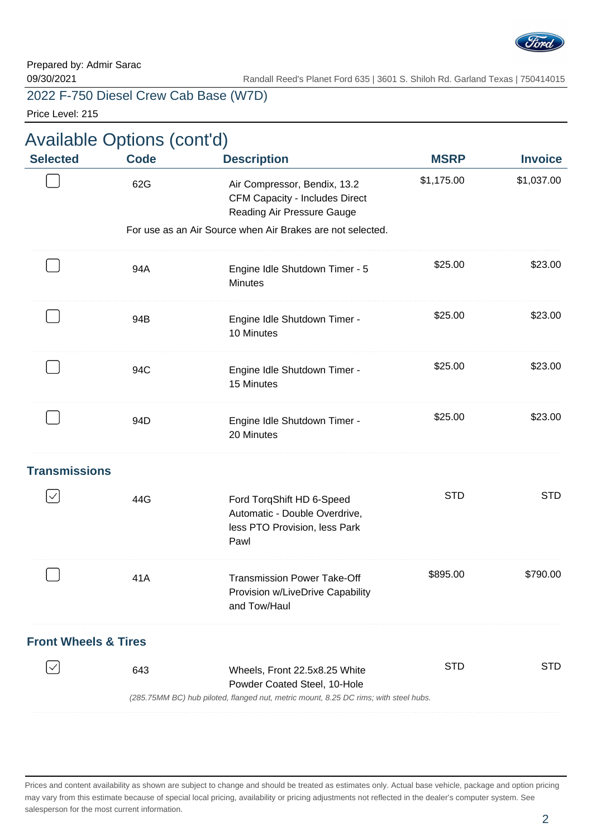

Price Level: 215

|                                 | <b>Available Options (cont'd)</b> |                                                                                                     |             |                |
|---------------------------------|-----------------------------------|-----------------------------------------------------------------------------------------------------|-------------|----------------|
| <b>Selected</b>                 | <b>Code</b>                       | <b>Description</b>                                                                                  | <b>MSRP</b> | <b>Invoice</b> |
|                                 | 62G                               | Air Compressor, Bendix, 13.2<br><b>CFM Capacity - Includes Direct</b><br>Reading Air Pressure Gauge | \$1,175.00  | \$1,037.00     |
|                                 |                                   | For use as an Air Source when Air Brakes are not selected.                                          |             |                |
|                                 | 94A                               | Engine Idle Shutdown Timer - 5<br><b>Minutes</b>                                                    | \$25.00     | \$23.00        |
|                                 | 94B                               | Engine Idle Shutdown Timer -<br>10 Minutes                                                          | \$25.00     | \$23.00        |
|                                 | 94C                               | Engine Idle Shutdown Timer -<br>15 Minutes                                                          | \$25.00     | \$23.00        |
|                                 | 94D                               | Engine Idle Shutdown Timer -<br>20 Minutes                                                          | \$25.00     | \$23.00        |
| <b>Transmissions</b>            |                                   |                                                                                                     |             |                |
| $\checkmark$                    | 44G                               | Ford TorqShift HD 6-Speed<br>Automatic - Double Overdrive,<br>less PTO Provision, less Park<br>Pawl | <b>STD</b>  | <b>STD</b>     |
|                                 | 41A                               | <b>Transmission Power Take-Off</b><br>Provision w/LiveDrive Capability<br>and Tow/Haul              | \$895.00    | \$790.00       |
| <b>Front Wheels &amp; Tires</b> |                                   |                                                                                                     |             |                |
|                                 | 643                               | Wheels, Front 22.5x8.25 White<br>Powder Coated Steel, 10-Hole                                       | <b>STD</b>  | <b>STD</b>     |
|                                 |                                   | (285.75MM BC) hub piloted, flanged nut, metric mount, 8.25 DC rims; with steel hubs.                |             |                |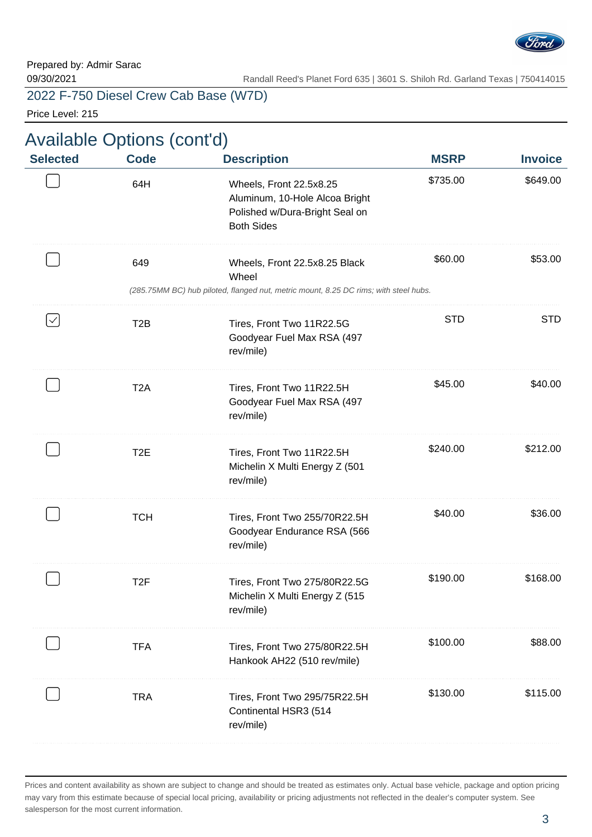

Price Level: 215

| Available Options (cont'd)<br><b>Selected</b> | <b>Code</b>      | <b>Description</b>                                                                                                             | <b>MSRP</b> | <b>Invoice</b> |
|-----------------------------------------------|------------------|--------------------------------------------------------------------------------------------------------------------------------|-------------|----------------|
|                                               | 64H              | Wheels, Front 22.5x8.25<br>Aluminum, 10-Hole Alcoa Bright<br>Polished w/Dura-Bright Seal on<br><b>Both Sides</b>               | \$735.00    | \$649.00       |
|                                               | 649              | Wheels, Front 22.5x8.25 Black<br>Wheel<br>(285.75MM BC) hub piloted, flanged nut, metric mount, 8.25 DC rims; with steel hubs. | \$60.00     | \$53.00        |
| $\checkmark$                                  | T <sub>2</sub> B | Tires, Front Two 11R22.5G<br>Goodyear Fuel Max RSA (497<br>rev/mile)                                                           | <b>STD</b>  | <b>STD</b>     |
|                                               | T <sub>2</sub> A | Tires, Front Two 11R22.5H<br>Goodyear Fuel Max RSA (497<br>rev/mile)                                                           | \$45.00     | \$40.00        |
|                                               | T <sub>2</sub> E | Tires, Front Two 11R22.5H<br>Michelin X Multi Energy Z (501<br>rev/mile)                                                       | \$240.00    | \$212.00       |
|                                               | <b>TCH</b>       | Tires, Front Two 255/70R22.5H<br>Goodyear Endurance RSA (566<br>rev/mile)                                                      | \$40.00     | \$36.00        |
|                                               | T <sub>2</sub> F | Tires, Front Two 275/80R22.5G<br>Michelin X Multi Energy Z (515<br>rev/mile)                                                   | \$190.00    | \$168.00       |
|                                               | <b>TFA</b>       | Tires, Front Two 275/80R22.5H<br>Hankook AH22 (510 rev/mile)                                                                   | \$100.00    | \$88.00        |
|                                               | <b>TRA</b>       | Tires, Front Two 295/75R22.5H<br>Continental HSR3 (514<br>rev/mile)                                                            | \$130.00    | \$115.00       |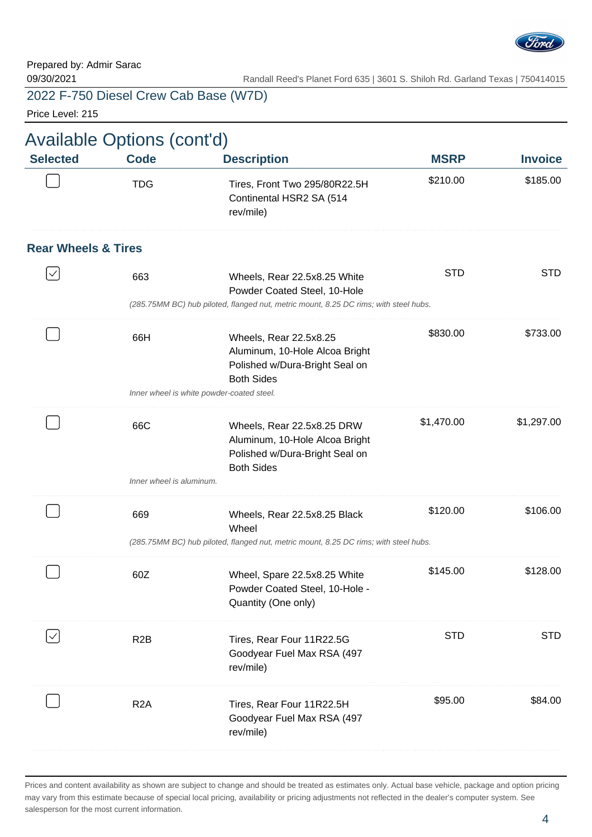

09/30/2021 Randall Reed's Planet Ford 635 | 3601 S. Shiloh Rd. Garland Texas | 750414015

2022 F-750 Diesel Crew Cab Base (W7D)

Price Level: 215

| <b>Code</b>                    | <b>Description</b>                                                                                                  | <b>MSRP</b>                                                                                                | <b>Invoice</b>                                                                                                                                                                            |
|--------------------------------|---------------------------------------------------------------------------------------------------------------------|------------------------------------------------------------------------------------------------------------|-------------------------------------------------------------------------------------------------------------------------------------------------------------------------------------------|
| <b>TDG</b>                     | Tires, Front Two 295/80R22.5H<br>Continental HSR2 SA (514<br>rev/mile)                                              | \$210.00                                                                                                   | \$185.00                                                                                                                                                                                  |
| <b>Rear Wheels &amp; Tires</b> |                                                                                                                     |                                                                                                            |                                                                                                                                                                                           |
| 663                            | Wheels, Rear 22.5x8.25 White<br>Powder Coated Steel, 10-Hole                                                        | <b>STD</b>                                                                                                 | <b>STD</b>                                                                                                                                                                                |
|                                |                                                                                                                     |                                                                                                            |                                                                                                                                                                                           |
| 66H                            | Wheels, Rear 22.5x8.25<br>Aluminum, 10-Hole Alcoa Bright<br>Polished w/Dura-Bright Seal on<br><b>Both Sides</b>     | \$830.00                                                                                                   | \$733.00                                                                                                                                                                                  |
|                                |                                                                                                                     |                                                                                                            |                                                                                                                                                                                           |
| 66C                            | Wheels, Rear 22.5x8.25 DRW<br>Aluminum, 10-Hole Alcoa Bright<br>Polished w/Dura-Bright Seal on<br><b>Both Sides</b> | \$1,470.00                                                                                                 | \$1,297.00                                                                                                                                                                                |
|                                |                                                                                                                     |                                                                                                            |                                                                                                                                                                                           |
| 669                            | Wheels, Rear 22.5x8.25 Black<br>Wheel                                                                               | \$120.00                                                                                                   | \$106.00                                                                                                                                                                                  |
|                                |                                                                                                                     |                                                                                                            |                                                                                                                                                                                           |
| 60Z                            | Wheel, Spare 22.5x8.25 White<br>Powder Coated Steel, 10-Hole -<br>Quantity (One only)                               | \$145.00                                                                                                   | \$128.00                                                                                                                                                                                  |
| R <sub>2</sub> B               | Tires, Rear Four 11R22.5G<br>Goodyear Fuel Max RSA (497<br>rev/mile)                                                | <b>STD</b>                                                                                                 | <b>STD</b>                                                                                                                                                                                |
| R <sub>2</sub> A               | Tires, Rear Four 11R22.5H<br>Goodyear Fuel Max RSA (497                                                             | \$95.00                                                                                                    | \$84.00                                                                                                                                                                                   |
|                                |                                                                                                                     | <b>Available Options (cont'd)</b><br>Inner wheel is white powder-coated steel.<br>Inner wheel is aluminum. | (285.75MM BC) hub piloted, flanged nut, metric mount, 8.25 DC rims; with steel hubs.<br>(285.75MM BC) hub piloted, flanged nut, metric mount, 8.25 DC rims; with steel hubs.<br>rev/mile) |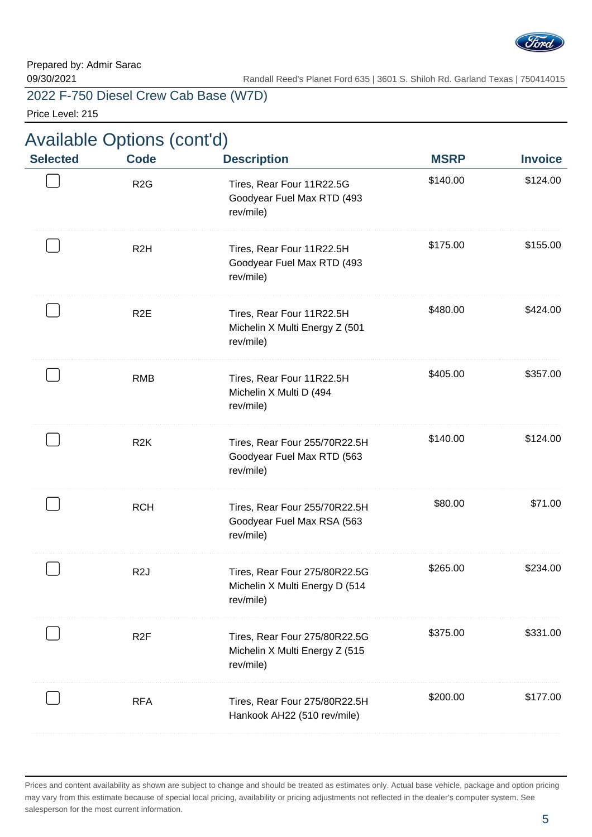

Price Level: 215

| \$140.00<br>\$124.00 |
|----------------------|
|                      |
| \$175.00<br>\$155.00 |
| \$480.00<br>\$424.00 |
| \$405.00<br>\$357.00 |
| \$140.00<br>\$124.00 |
| \$80.00<br>\$71.00   |
| \$265.00<br>\$234.00 |
| \$375.00<br>\$331.00 |
| \$200.00<br>\$177.00 |
|                      |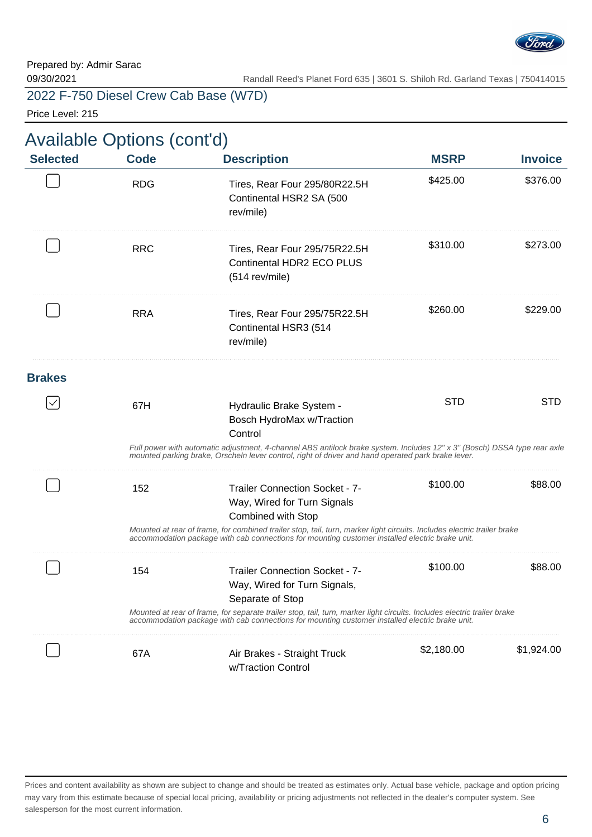

09/30/2021 Randall Reed's Planet Ford 635 | 3601 S. Shiloh Rd. Garland Texas | 750414015

2022 F-750 Diesel Crew Cab Base (W7D)

Price Level: 215

| <b>Selected</b> | <b>Code</b> | <b>Description</b>                                                                                                                                                                                                             | <b>MSRP</b> | <b>Invoice</b> |
|-----------------|-------------|--------------------------------------------------------------------------------------------------------------------------------------------------------------------------------------------------------------------------------|-------------|----------------|
|                 | <b>RDG</b>  | Tires, Rear Four 295/80R22.5H<br>Continental HSR2 SA (500<br>rev/mile)                                                                                                                                                         | \$425.00    | \$376.00       |
|                 | <b>RRC</b>  | Tires, Rear Four 295/75R22.5H<br><b>Continental HDR2 ECO PLUS</b><br>(514 rev/mile)                                                                                                                                            | \$310.00    | \$273.00       |
|                 | <b>RRA</b>  | Tires, Rear Four 295/75R22.5H<br>Continental HSR3 (514<br>rev/mile)                                                                                                                                                            | \$260.00    | \$229.00       |
| <b>Brakes</b>   |             |                                                                                                                                                                                                                                |             |                |
|                 | 67H         | Hydraulic Brake System -<br>Bosch HydroMax w/Traction<br>Control                                                                                                                                                               | <b>STD</b>  | <b>STD</b>     |
|                 |             | Full power with automatic adjustment, 4-channel ABS antilock brake system. Includes 12" x 3" (Bosch) DSSA type rear axle<br>mounted parking brake, Orscheln lever control, right of driver and hand operated park brake lever. |             |                |
|                 | 152         | <b>Trailer Connection Socket - 7-</b><br>Way, Wired for Turn Signals<br>Combined with Stop                                                                                                                                     | \$100.00    | \$88.00        |
|                 |             | Mounted at rear of frame, for combined trailer stop, tail, turn, marker light circuits. Includes electric trailer brake<br>accommodation package with cab connections for mounting customer installed electric brake unit.     |             |                |
|                 | 154         | <b>Trailer Connection Socket - 7-</b><br>Way, Wired for Turn Signals,<br>Separate of Stop                                                                                                                                      | \$100.00    | \$88.00        |
|                 |             | Mounted at rear of frame, for separate trailer stop, tail, turn, marker light circuits. Includes electric trailer brake<br>accommodation package with cab connections for mounting customer installed electric brake unit.     |             |                |
|                 | 67A         | Air Brakes - Straight Truck<br>w/Traction Control                                                                                                                                                                              | \$2,180.00  | \$1,924.00     |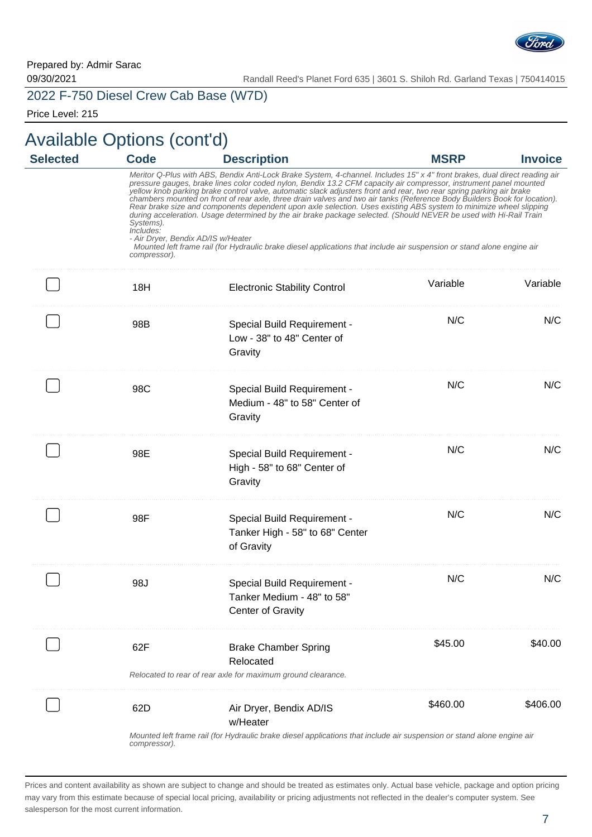

Price Level: 215

| <b>Selected</b> | <b>Code</b>                                                                  | <b>Description</b>                                                                                                                                                                                                                                                                                                                                                                                                                                                                                                                                                                                                                                                                                                                                                                                                                                                       | <b>MSRP</b> | <b>Invoice</b> |
|-----------------|------------------------------------------------------------------------------|--------------------------------------------------------------------------------------------------------------------------------------------------------------------------------------------------------------------------------------------------------------------------------------------------------------------------------------------------------------------------------------------------------------------------------------------------------------------------------------------------------------------------------------------------------------------------------------------------------------------------------------------------------------------------------------------------------------------------------------------------------------------------------------------------------------------------------------------------------------------------|-------------|----------------|
|                 | Systems).<br>Includes:<br>- Air Dryer, Bendix AD/IS w/Heater<br>compressor). | Meritor Q-Plus with ABS, Bendix Anti-Lock Brake System, 4-channel. Includes 15" x 4" front brakes, dual direct reading air<br>pressure gauges, brake lines color coded nylon, Bendix 13.2 CFM capacity air compressor, instrument panel mounted<br>yellow knob parking brake control valve, automatic slack adjusters front and rear, two rear spring parking air brake<br>chambers mounted on front of rear axle, three drain valves and two air tanks (Reference Body Builders Book for location).<br>Rear brake size and components dependent upon axle selection. Uses existing ABS system to minimize wheel slipping<br>during acceleration. Usage determined by the air brake package selected. (Should NEVER be used with Hi-Rail Train<br>Mounted left frame rail (for Hydraulic brake diesel applications that include air suspension or stand alone engine air |             |                |
|                 | 18H                                                                          | <b>Electronic Stability Control</b>                                                                                                                                                                                                                                                                                                                                                                                                                                                                                                                                                                                                                                                                                                                                                                                                                                      | Variable    | Variable       |
|                 | 98B                                                                          | Special Build Requirement -<br>Low - 38" to 48" Center of<br>Gravity                                                                                                                                                                                                                                                                                                                                                                                                                                                                                                                                                                                                                                                                                                                                                                                                     | N/C         | N/C            |
|                 | 98C                                                                          | Special Build Requirement -<br>Medium - 48" to 58" Center of<br>Gravity                                                                                                                                                                                                                                                                                                                                                                                                                                                                                                                                                                                                                                                                                                                                                                                                  | N/C         | N/C            |
|                 | 98E                                                                          | Special Build Requirement -<br>High - 58" to 68" Center of<br>Gravity                                                                                                                                                                                                                                                                                                                                                                                                                                                                                                                                                                                                                                                                                                                                                                                                    | N/C         | N/C            |
|                 | 98F                                                                          | Special Build Requirement -<br>Tanker High - 58" to 68" Center<br>of Gravity                                                                                                                                                                                                                                                                                                                                                                                                                                                                                                                                                                                                                                                                                                                                                                                             | N/C         | N/C            |
|                 | 98J                                                                          | Special Build Requirement -<br>Tanker Medium - 48" to 58"<br><b>Center of Gravity</b>                                                                                                                                                                                                                                                                                                                                                                                                                                                                                                                                                                                                                                                                                                                                                                                    | N/C         | N/C            |
|                 | 62F                                                                          | <b>Brake Chamber Spring</b><br>Relocated<br>Relocated to rear of rear axle for maximum ground clearance.                                                                                                                                                                                                                                                                                                                                                                                                                                                                                                                                                                                                                                                                                                                                                                 | \$45.00     | \$40.00        |
|                 | 62D                                                                          | Air Dryer, Bendix AD/IS<br>w/Heater                                                                                                                                                                                                                                                                                                                                                                                                                                                                                                                                                                                                                                                                                                                                                                                                                                      | \$460.00    | \$406.00       |

me rail (for Hydraulic brake diesel applications that include air suspension or stand alone engine ai compressor).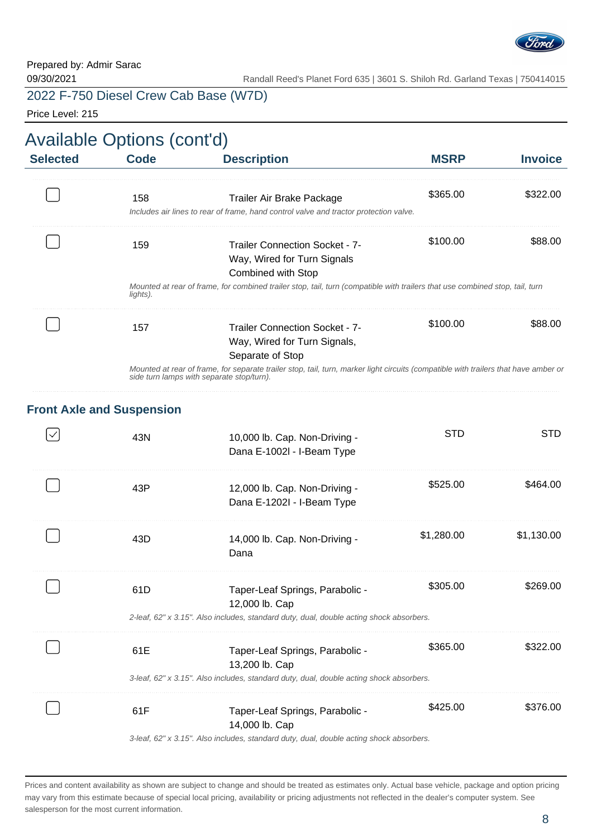

Price Level: 215

|                 | Available Options (cont'd)       |                                                                                                                                                                                  |             |                |  |  |
|-----------------|----------------------------------|----------------------------------------------------------------------------------------------------------------------------------------------------------------------------------|-------------|----------------|--|--|
| <b>Selected</b> | <b>Code</b>                      | <b>Description</b>                                                                                                                                                               | <b>MSRP</b> | <b>Invoice</b> |  |  |
|                 | 158                              | Trailer Air Brake Package<br>Includes air lines to rear of frame, hand control valve and tractor protection valve.                                                               | \$365.00    | \$322.00       |  |  |
|                 | 159                              | <b>Trailer Connection Socket - 7-</b><br>Way, Wired for Turn Signals<br><b>Combined with Stop</b>                                                                                | \$100.00    | \$88.00        |  |  |
|                 | lights).                         | Mounted at rear of frame, for combined trailer stop, tail, turn (compatible with trailers that use combined stop, tail, turn                                                     |             |                |  |  |
|                 | 157                              | <b>Trailer Connection Socket - 7-</b><br>Way, Wired for Turn Signals,<br>Separate of Stop                                                                                        | \$100.00    | \$88.00        |  |  |
|                 |                                  | Mounted at rear of frame, for separate trailer stop, tail, turn, marker light circuits (compatible with trailers that have amber or<br>side turn lamps with separate stop/turn). |             |                |  |  |
|                 | <b>Front Axle and Suspension</b> |                                                                                                                                                                                  |             |                |  |  |
|                 | 43N                              | 10,000 lb. Cap. Non-Driving -<br>Dana E-1002l - I-Beam Type                                                                                                                      | <b>STD</b>  | <b>STD</b>     |  |  |
|                 | 43P                              | 12,000 lb. Cap. Non-Driving -<br>Dana E-1202I - I-Beam Type                                                                                                                      | \$525.00    | \$464.00       |  |  |
|                 | 43D                              | 14,000 lb. Cap. Non-Driving -<br>Dana                                                                                                                                            | \$1,280.00  | \$1,130.00     |  |  |
|                 | 61D                              | Taper-Leaf Springs, Parabolic -<br>12,000 lb. Cap                                                                                                                                | \$305.00    | \$269.00       |  |  |
|                 |                                  | 2-leaf, 62" x 3.15". Also includes, standard duty, dual, double acting shock absorbers.                                                                                          |             |                |  |  |
|                 | 61E                              | Taper-Leaf Springs, Parabolic -<br>13,200 lb. Cap                                                                                                                                | \$365.00    | \$322.00       |  |  |
|                 |                                  | 3-leaf, 62" x 3.15". Also includes, standard duty, dual, double acting shock absorbers.                                                                                          |             |                |  |  |
|                 | 61F                              | Taper-Leaf Springs, Parabolic -<br>14,000 lb. Cap                                                                                                                                | \$425.00    | \$376.00       |  |  |

3-leaf, 62" x 3.15". Also includes, standard duty, dual, double acting shock absorbers.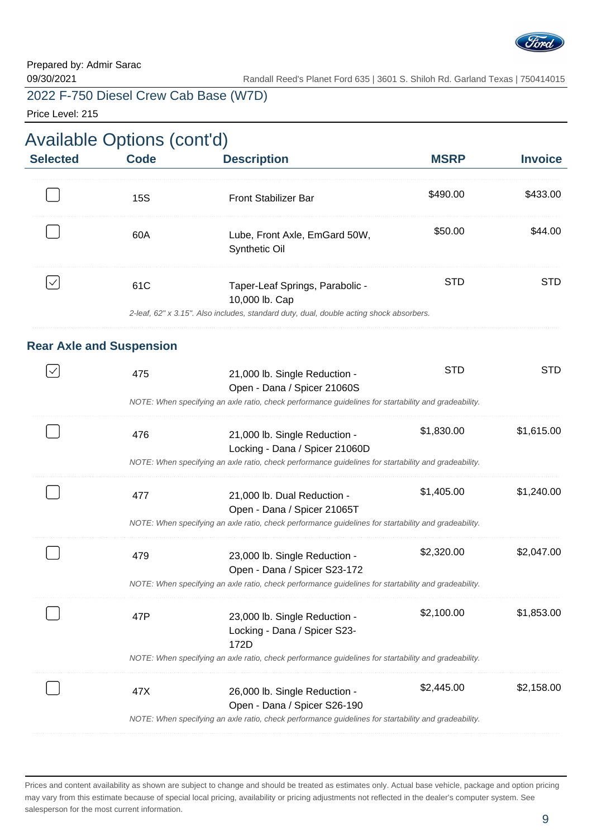

Price Level: 215

| <b>Available Options (cont'd)</b> |  |  |
|-----------------------------------|--|--|
|-----------------------------------|--|--|

| <b>Selected</b> | <b>Code</b>                     | <b>Description</b>                                                                                                                           | <b>MSRP</b> | <b>Invoice</b> |
|-----------------|---------------------------------|----------------------------------------------------------------------------------------------------------------------------------------------|-------------|----------------|
|                 | <b>15S</b>                      | <b>Front Stabilizer Bar</b>                                                                                                                  | \$490.00    | \$433.00       |
|                 | 60A                             | Lube, Front Axle, EmGard 50W,<br>Synthetic Oil                                                                                               | \$50.00     | \$44.00        |
| $\checkmark$    | 61C                             | Taper-Leaf Springs, Parabolic -<br>10,000 lb. Cap<br>2-leaf, 62" x 3.15". Also includes, standard duty, dual, double acting shock absorbers. | <b>STD</b>  | <b>STD</b>     |
|                 |                                 |                                                                                                                                              |             |                |
|                 | <b>Rear Axle and Suspension</b> |                                                                                                                                              |             |                |
|                 | 475                             | 21,000 lb. Single Reduction -<br>Open - Dana / Spicer 21060S                                                                                 | <b>STD</b>  | <b>STD</b>     |
|                 |                                 | NOTE: When specifying an axle ratio, check performance quidelines for startability and gradeability.                                         |             |                |
|                 | 476                             | 21,000 lb. Single Reduction -<br>Locking - Dana / Spicer 21060D                                                                              | \$1,830.00  | \$1,615.00     |
|                 |                                 | NOTE: When specifying an axle ratio, check performance guidelines for startability and gradeability.                                         |             |                |
|                 | 477                             | 21,000 lb. Dual Reduction -<br>Open - Dana / Spicer 21065T                                                                                   | \$1,405.00  | \$1,240.00     |
|                 |                                 | NOTE: When specifying an axle ratio, check performance guidelines for startability and gradeability.                                         |             |                |
|                 | 479                             | 23,000 lb. Single Reduction -<br>Open - Dana / Spicer S23-172                                                                                | \$2,320.00  | \$2,047.00     |
|                 |                                 | NOTE: When specifying an axle ratio, check performance guidelines for startability and gradeability.                                         |             |                |
|                 | 47P                             | 23,000 lb. Single Reduction -<br>Locking - Dana / Spicer S23-<br>172D                                                                        | \$2,100.00  | \$1,853.00     |
|                 |                                 | NOTE: When specifying an axle ratio, check performance guidelines for startability and gradeability.                                         |             |                |
|                 | 47X                             | 26,000 lb. Single Reduction -<br>Open - Dana / Spicer S26-190                                                                                | \$2,445.00  | \$2,158.00     |
|                 |                                 | NOTE: When specifying an axle ratio, check performance guidelines for startability and gradeability.                                         |             |                |

Prices and content availability as shown are subject to change and should be treated as estimates only. Actual base vehicle, package and option pricing may vary from this estimate because of special local pricing, availability or pricing adjustments not reflected in the dealer's computer system. See salesperson for the most current information.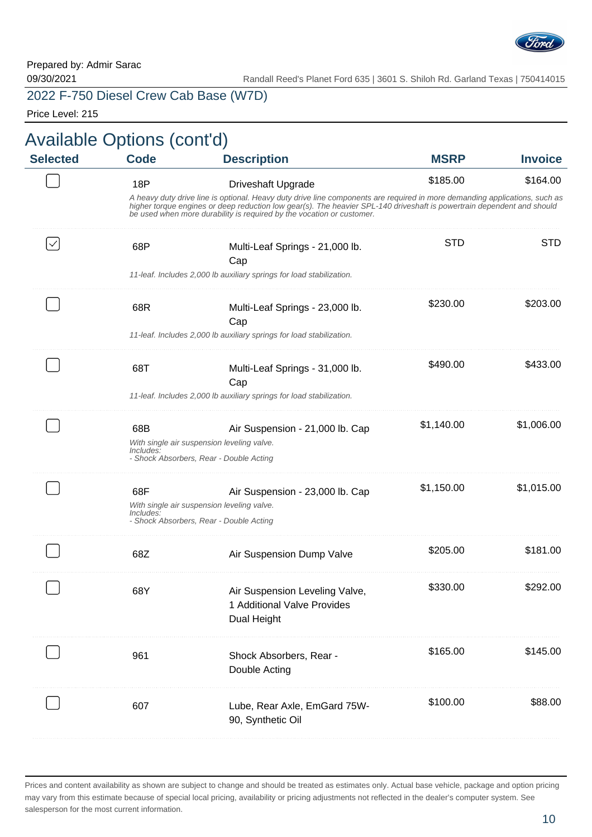

Price Level: 215

| <b>Invoice</b> | <b>MSRP</b> | <b>Description</b>                                                                                                                                                                                                                                                                                                            | <b>Code</b>      | <b>Selected</b> |
|----------------|-------------|-------------------------------------------------------------------------------------------------------------------------------------------------------------------------------------------------------------------------------------------------------------------------------------------------------------------------------|------------------|-----------------|
| \$164.00       | \$185.00    | <b>Driveshaft Upgrade</b>                                                                                                                                                                                                                                                                                                     | <b>18P</b>       |                 |
|                |             | A heavy duty drive line is optional. Heavy duty drive line components are required in more demanding applications, such as<br>higher torque engines or deep reduction low gear(s). The heavier SPL-140 driveshaft is powertrain dependent and should<br>be used when more durability is required by the vocation or customer. |                  |                 |
| <b>STD</b>     | <b>STD</b>  | Multi-Leaf Springs - 21,000 lb.<br>Cap                                                                                                                                                                                                                                                                                        | 68P              |                 |
|                |             | 11-leaf. Includes 2,000 lb auxiliary springs for load stabilization.                                                                                                                                                                                                                                                          |                  |                 |
| \$203.00       | \$230.00    | Multi-Leaf Springs - 23,000 lb.<br>Cap                                                                                                                                                                                                                                                                                        | 68R              |                 |
|                |             | 11-leaf. Includes 2,000 lb auxiliary springs for load stabilization.                                                                                                                                                                                                                                                          |                  |                 |
| \$433.00       | \$490.00    | Multi-Leaf Springs - 31,000 lb.<br>Cap                                                                                                                                                                                                                                                                                        | 68T              |                 |
|                |             | 11-leaf. Includes 2,000 lb auxiliary springs for load stabilization.                                                                                                                                                                                                                                                          |                  |                 |
| \$1,006.00     | \$1,140.00  | Air Suspension - 21,000 lb. Cap<br>With single air suspension leveling valve.<br>- Shock Absorbers, Rear - Double Acting                                                                                                                                                                                                      | 68B<br>Includes: |                 |
| \$1,015.00     | \$1,150.00  | Air Suspension - 23,000 lb. Cap<br>With single air suspension leveling valve.<br>- Shock Absorbers, Rear - Double Acting                                                                                                                                                                                                      | 68F<br>Includes: |                 |
| \$181.00       | \$205.00    | Air Suspension Dump Valve                                                                                                                                                                                                                                                                                                     | 68Z              |                 |
| \$292.00       | \$330.00    | Air Suspension Leveling Valve,<br>1 Additional Valve Provides<br>Dual Height                                                                                                                                                                                                                                                  | 68Y              |                 |
| \$145.00       | \$165.00    | Shock Absorbers, Rear -<br>Double Acting                                                                                                                                                                                                                                                                                      | 961              |                 |
| \$88.00        | \$100.00    | Lube, Rear Axle, EmGard 75W-<br>90, Synthetic Oil                                                                                                                                                                                                                                                                             | 607              |                 |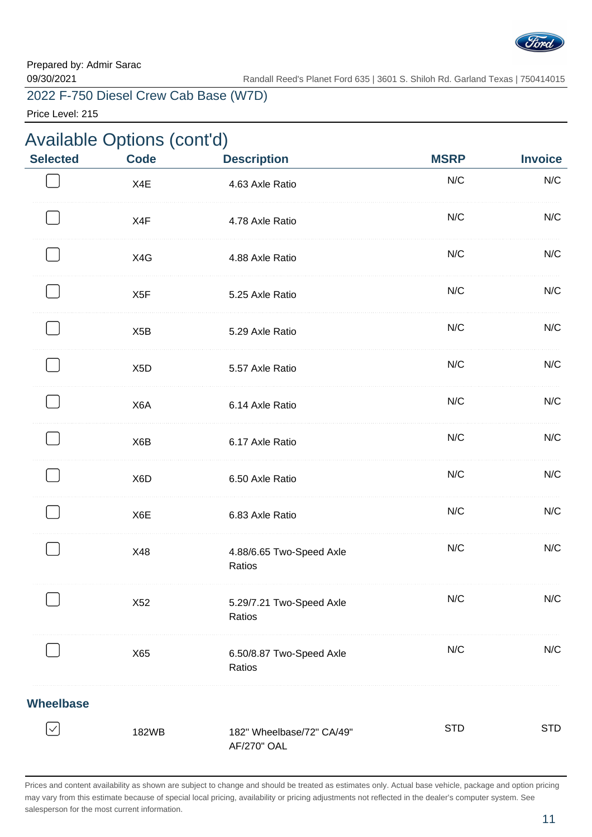

Price Level: 215

|                  | Available Options (cont'd) |                                                 |             |                |
|------------------|----------------------------|-------------------------------------------------|-------------|----------------|
| <b>Selected</b>  | <b>Code</b>                | <b>Description</b>                              | <b>MSRP</b> | <b>Invoice</b> |
|                  | X4E                        | 4.63 Axle Ratio                                 | N/C         | N/C            |
|                  | X4F                        | 4.78 Axle Ratio                                 | N/C         | N/C            |
|                  | X4G                        | 4.88 Axle Ratio                                 | N/C         | N/C            |
|                  | X <sub>5</sub> F           | 5.25 Axle Ratio                                 | N/C         | N/C            |
|                  | X <sub>5</sub> B           | 5.29 Axle Ratio                                 | N/C         | N/C            |
|                  | X <sub>5</sub> D           | 5.57 Axle Ratio                                 | N/C         | N/C            |
|                  | X6A                        | 6.14 Axle Ratio                                 | N/C         | N/C            |
|                  | X6B                        | 6.17 Axle Ratio                                 | N/C         | N/C            |
|                  | X <sub>6</sub> D           | 6.50 Axle Ratio                                 | N/C         | N/C            |
|                  | X6E                        | 6.83 Axle Ratio                                 | N/C         | N/C            |
|                  | X48                        | 4.88/6.65 Two-Speed Axle<br>Ratios              | N/C         | N/C            |
|                  | X52                        | 5.29/7.21 Two-Speed Axle<br>Ratios              | N/C         | N/C            |
|                  | X65                        | 6.50/8.87 Two-Speed Axle<br>Ratios              | N/C         | N/C            |
| <b>Wheelbase</b> |                            |                                                 |             |                |
|                  | 182WB                      | 182" Wheelbase/72" CA/49"<br><b>AF/270" OAL</b> | <b>STD</b>  | <b>STD</b>     |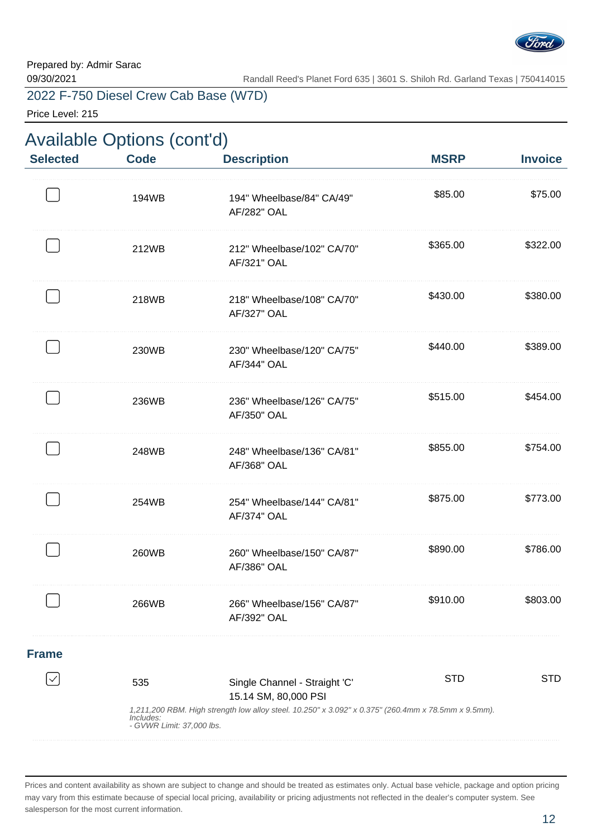

Price Level: 215

|                 | <b>Available Options (cont'd)</b>             |                                                                                                                                                              |             |                |  |  |
|-----------------|-----------------------------------------------|--------------------------------------------------------------------------------------------------------------------------------------------------------------|-------------|----------------|--|--|
| <b>Selected</b> | <b>Code</b>                                   | <b>Description</b>                                                                                                                                           | <b>MSRP</b> | <b>Invoice</b> |  |  |
|                 | 194WB                                         | 194" Wheelbase/84" CA/49"<br>AF/282" OAL                                                                                                                     | \$85.00     | \$75.00        |  |  |
|                 | 212WB                                         | 212" Wheelbase/102" CA/70"<br>AF/321" OAL                                                                                                                    | \$365.00    | \$322.00       |  |  |
|                 | 218WB                                         | 218" Wheelbase/108" CA/70"<br>AF/327" OAL                                                                                                                    | \$430.00    | \$380.00       |  |  |
|                 | 230WB                                         | 230" Wheelbase/120" CA/75"<br>AF/344" OAL                                                                                                                    | \$440.00    | \$389.00       |  |  |
|                 | 236WB                                         | 236" Wheelbase/126" CA/75"<br>AF/350" OAL                                                                                                                    | \$515.00    | \$454.00       |  |  |
|                 | 248WB                                         | 248" Wheelbase/136" CA/81"<br>AF/368" OAL                                                                                                                    | \$855.00    | \$754.00       |  |  |
|                 | 254WB                                         | 254" Wheelbase/144" CA/81"<br><b>AF/374" OAL</b>                                                                                                             | \$875.00    | \$773.00       |  |  |
|                 | 260WB                                         | 260" Wheelbase/150" CA/87"<br><b>AF/386" OAL</b>                                                                                                             | \$890.00    | \$786.00       |  |  |
|                 | 266WB                                         | 266" Wheelbase/156" CA/87"<br>AF/392" OAL                                                                                                                    | \$910.00    | \$803.00       |  |  |
| <b>Frame</b>    |                                               |                                                                                                                                                              |             |                |  |  |
|                 | 535<br>Includes:<br>- GVWR Limit: 37,000 lbs. | Single Channel - Straight 'C'<br>15.14 SM, 80,000 PSI<br>1,211,200 RBM. High strength low alloy steel. 10.250" x 3.092" x 0.375" (260.4mm x 78.5mm x 9.5mm). | <b>STD</b>  | <b>STD</b>     |  |  |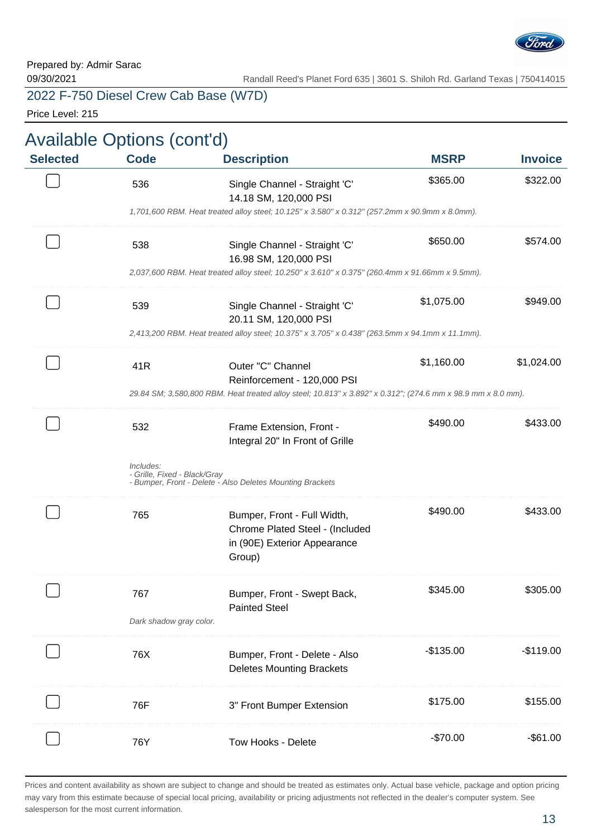

Price Level: 215

| <b>Selected</b> | Available Options (cont'd)<br><b>Code</b> | <b>Description</b>                                                                                                      | <b>MSRP</b> | <b>Invoice</b> |
|-----------------|-------------------------------------------|-------------------------------------------------------------------------------------------------------------------------|-------------|----------------|
|                 | 536                                       | Single Channel - Straight 'C'                                                                                           | \$365.00    | \$322.00       |
|                 |                                           | 14.18 SM, 120,000 PSI<br>1,701,600 RBM. Heat treated alloy steel; 10.125" x 3.580" x 0.312" (257.2mm x 90.9mm x 8.0mm). |             |                |
|                 | 538                                       | Single Channel - Straight 'C'<br>16.98 SM, 120,000 PSI                                                                  | \$650.00    | \$574.00       |
|                 |                                           | 2,037,600 RBM. Heat treated alloy steel; 10.250" x 3.610" x 0.375" (260.4mm x 91.66mm x 9.5mm).                         |             |                |
|                 | 539                                       | Single Channel - Straight 'C'<br>20.11 SM, 120,000 PSI                                                                  | \$1,075.00  | \$949.00       |
|                 |                                           | 2,413,200 RBM. Heat treated alloy steel; 10.375" x 3.705" x 0.438" (263.5mm x 94.1mm x 11.1mm).                         |             |                |
|                 | 41R                                       | Outer "C" Channel<br>Reinforcement - 120,000 PSI                                                                        | \$1,160.00  | \$1,024.00     |
|                 |                                           | 29.84 SM; 3,580,800 RBM. Heat treated alloy steel; 10.813" x 3.892" x 0.312"; (274.6 mm x 98.9 mm x 8.0 mm).            |             |                |
|                 | 532                                       | Frame Extension, Front -<br>Integral 20" In Front of Grille                                                             | \$490.00    | \$433.00       |
|                 | Includes:<br>- Grille, Fixed - Black/Gray | - Bumper, Front - Delete - Also Deletes Mounting Brackets                                                               |             |                |
|                 | 765                                       | Bumper, Front - Full Width,<br>Chrome Plated Steel - (Included                                                          | \$490.00    | \$433.00       |
|                 |                                           | in (90E) Exterior Appearance<br>Group)                                                                                  |             |                |
|                 | 767                                       | Bumper, Front - Swept Back,<br><b>Painted Steel</b>                                                                     | \$345.00    | \$305.00       |
|                 | Dark shadow gray color.                   |                                                                                                                         |             |                |
|                 | 76X                                       | Bumper, Front - Delete - Also<br><b>Deletes Mounting Brackets</b>                                                       | $-$135.00$  | $-$119.00$     |
|                 | 76F                                       | 3" Front Bumper Extension                                                                                               | \$175.00    | \$155.00       |
|                 | 76Y                                       | Tow Hooks - Delete                                                                                                      | $-$70.00$   | $-$ \$61.00    |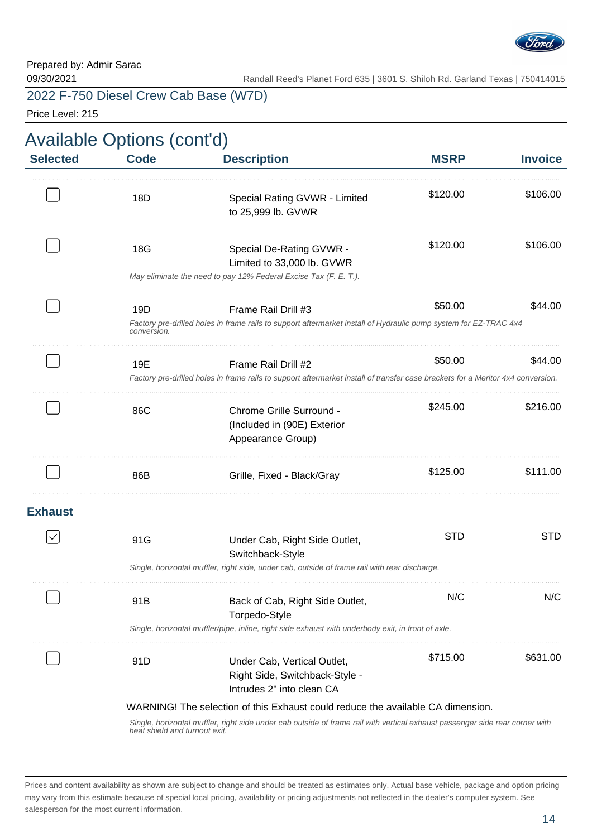

Price Level: 215

| <b>Selected</b> | Available Options (cont'd)<br><b>Code</b> | <b>Description</b>                                                                                                                                     | <b>MSRP</b> | <b>Invoice</b> |
|-----------------|-------------------------------------------|--------------------------------------------------------------------------------------------------------------------------------------------------------|-------------|----------------|
|                 | 18D                                       | Special Rating GVWR - Limited<br>to 25,999 lb. GVWR                                                                                                    | \$120.00    | \$106.00       |
|                 | 18G                                       | Special De-Rating GVWR -<br>Limited to 33,000 lb. GVWR<br>May eliminate the need to pay 12% Federal Excise Tax (F. E. T.).                             | \$120.00    | \$106.00       |
|                 | 19D<br>conversion.                        | Frame Rail Drill #3<br>Factory pre-drilled holes in frame rails to support aftermarket install of Hydraulic pump system for EZ-TRAC 4x4                | \$50.00     | \$44.00        |
|                 | 19E                                       | Frame Rail Drill #2<br>Factory pre-drilled holes in frame rails to support aftermarket install of transfer case brackets for a Meritor 4x4 conversion. | \$50.00     | \$44.00        |
|                 | 86C                                       | Chrome Grille Surround -<br>(Included in (90E) Exterior<br>Appearance Group)                                                                           | \$245.00    | \$216.00       |
|                 | 86B                                       | Grille, Fixed - Black/Gray                                                                                                                             | \$125.00    | \$111.00       |
| <b>Exhaust</b>  |                                           |                                                                                                                                                        |             |                |
|                 | 91G                                       | Under Cab, Right Side Outlet,<br>Switchback-Style                                                                                                      | <b>STD</b>  | <b>STD</b>     |
|                 |                                           | Single, horizontal muffler, right side, under cab, outside of frame rail with rear discharge.                                                          |             |                |
|                 | 91B                                       | Back of Cab, Right Side Outlet,<br>Torpedo-Style                                                                                                       | N/C         | N/C            |
|                 |                                           | Single, horizontal muffler/pipe, inline, right side exhaust with underbody exit, in front of axle.                                                     |             |                |
|                 | 91D                                       | Under Cab, Vertical Outlet,<br>Right Side, Switchback-Style -<br>Intrudes 2" into clean CA                                                             | \$715.00    | \$631.00       |
|                 |                                           | WARNING! The selection of this Exhaust could reduce the available CA dimension.                                                                        |             |                |
|                 | heat shield and turnout exit.             | Single, horizontal muffler, right side under cab outside of frame rail with vertical exhaust passenger side rear corner with                           |             |                |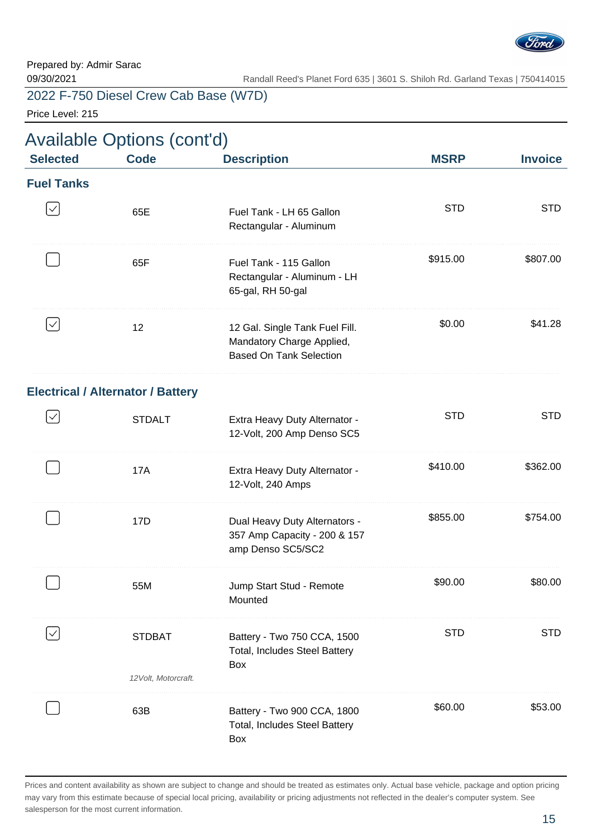

Price Level: 215

|                   | <b>Available Options (cont'd)</b>        |                                                                                               |             |                |  |
|-------------------|------------------------------------------|-----------------------------------------------------------------------------------------------|-------------|----------------|--|
| <b>Selected</b>   | <b>Code</b>                              | <b>Description</b>                                                                            | <b>MSRP</b> | <b>Invoice</b> |  |
| <b>Fuel Tanks</b> |                                          |                                                                                               |             |                |  |
| $\checkmark$      | 65E                                      | Fuel Tank - LH 65 Gallon<br>Rectangular - Aluminum                                            | <b>STD</b>  | <b>STD</b>     |  |
|                   | 65F                                      | Fuel Tank - 115 Gallon<br>Rectangular - Aluminum - LH<br>65-gal, RH 50-gal                    | \$915.00    | \$807.00       |  |
| $\checkmark$      | 12                                       | 12 Gal. Single Tank Fuel Fill.<br>Mandatory Charge Applied,<br><b>Based On Tank Selection</b> | \$0.00      | \$41.28        |  |
|                   | <b>Electrical / Alternator / Battery</b> |                                                                                               |             |                |  |
| $\checkmark$      | <b>STDALT</b>                            | Extra Heavy Duty Alternator -<br>12-Volt, 200 Amp Denso SC5                                   | <b>STD</b>  | <b>STD</b>     |  |
|                   | 17A                                      | Extra Heavy Duty Alternator -<br>12-Volt, 240 Amps                                            | \$410.00    | \$362.00       |  |
|                   | 17D                                      | Dual Heavy Duty Alternators -<br>357 Amp Capacity - 200 & 157<br>amp Denso SC5/SC2            | \$855.00    | \$754.00       |  |
|                   | 55M                                      | Jump Start Stud - Remote<br>Mounted                                                           | \$90.00     | \$80.00        |  |
|                   | <b>STDBAT</b><br>12 Volt, Motorcraft.    | Battery - Two 750 CCA, 1500<br>Total, Includes Steel Battery<br>Box                           | <b>STD</b>  | <b>STD</b>     |  |
|                   | 63B                                      | Battery - Two 900 CCA, 1800<br>Total, Includes Steel Battery<br>Box                           | \$60.00     | \$53.00        |  |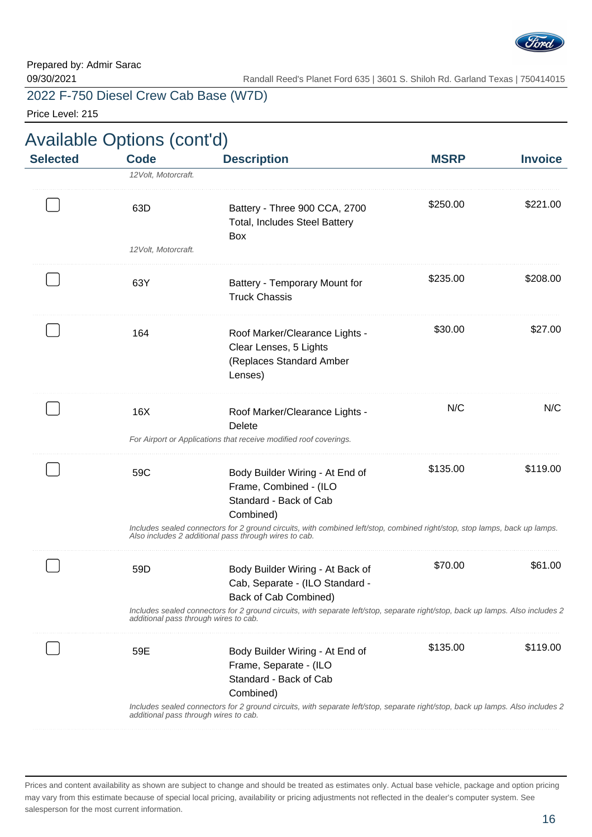

Price Level: 215

| <b>Selected</b> | <b>Code</b>          | <b>Description</b>                                                                                                                                                                   | <b>MSRP</b> | <b>Invoice</b> |
|-----------------|----------------------|--------------------------------------------------------------------------------------------------------------------------------------------------------------------------------------|-------------|----------------|
|                 | 12 Volt, Motorcraft. |                                                                                                                                                                                      |             |                |
|                 | 63D                  | Battery - Three 900 CCA, 2700<br>Total, Includes Steel Battery<br>Box                                                                                                                | \$250.00    | \$221.00       |
|                 | 12 Volt, Motorcraft. |                                                                                                                                                                                      |             |                |
|                 | 63Y                  | Battery - Temporary Mount for<br><b>Truck Chassis</b>                                                                                                                                | \$235.00    | \$208.00       |
|                 | 164                  | Roof Marker/Clearance Lights -<br>Clear Lenses, 5 Lights<br>(Replaces Standard Amber<br>Lenses)                                                                                      | \$30.00     | \$27.00        |
|                 | 16X                  | Roof Marker/Clearance Lights -<br>Delete                                                                                                                                             | N/C         | N/C            |
|                 |                      | For Airport or Applications that receive modified roof coverings.                                                                                                                    |             |                |
|                 | 59C                  | Body Builder Wiring - At End of<br>Frame, Combined - (ILO<br>Standard - Back of Cab<br>Combined)                                                                                     | \$135.00    | \$119.00       |
|                 |                      | Includes sealed connectors for 2 ground circuits, with combined left/stop, combined right/stop, stop lamps, back up lamps.<br>Also includes 2 additional pass through wires to cab.  |             |                |
|                 | 59D                  | Body Builder Wiring - At Back of<br>Cab, Separate - (ILO Standard -<br>Back of Cab Combined)                                                                                         | \$70.00     | \$61.00        |
|                 |                      | Includes sealed connectors for 2 ground circuits, with separate left/stop, separate right/stop, back up lamps. Also includes 2<br>additional pass through wires to cab.              |             |                |
|                 | 59E                  | Body Builder Wiring - At End of<br>Frame, Separate - (ILO<br>Standard - Back of Cab                                                                                                  | \$135.00    | \$119.00       |
|                 |                      | Combined)<br>Includes sealed connectors for 2 ground circuits, with separate left/stop, separate right/stop, back up lamps. Also includes 2<br>additional pass through wires to cab. |             |                |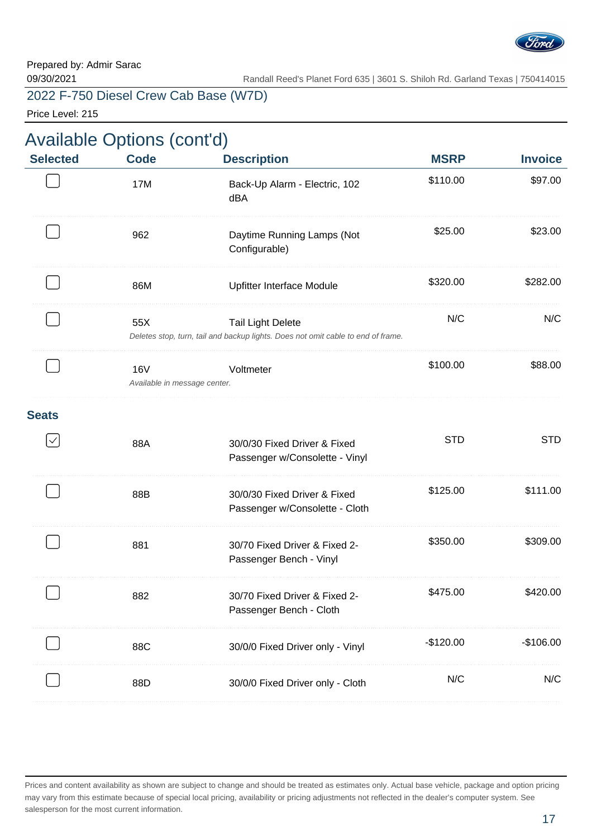

Price Level: 215

|                 | <b>Available Options (cont'd)</b>          |                                                                                                              |             |                |  |  |
|-----------------|--------------------------------------------|--------------------------------------------------------------------------------------------------------------|-------------|----------------|--|--|
| <b>Selected</b> | <b>Code</b>                                | <b>Description</b>                                                                                           | <b>MSRP</b> | <b>Invoice</b> |  |  |
|                 | 17M                                        | Back-Up Alarm - Electric, 102<br>dBA                                                                         | \$110.00    | \$97.00        |  |  |
|                 | 962                                        | Daytime Running Lamps (Not<br>Configurable)                                                                  | \$25.00     | \$23.00        |  |  |
|                 | 86M                                        | Upfitter Interface Module                                                                                    | \$320.00    | \$282.00       |  |  |
|                 | 55X                                        | <b>Tail Light Delete</b><br>Deletes stop, turn, tail and backup lights. Does not omit cable to end of frame. | N/C         | N/C            |  |  |
|                 | <b>16V</b><br>Available in message center. | Voltmeter                                                                                                    | \$100.00    | \$88.00        |  |  |
| <b>Seats</b>    |                                            |                                                                                                              |             |                |  |  |
| $\checkmark$    | 88A                                        | 30/0/30 Fixed Driver & Fixed<br>Passenger w/Consolette - Vinyl                                               | <b>STD</b>  | <b>STD</b>     |  |  |
|                 | 88B                                        | 30/0/30 Fixed Driver & Fixed<br>Passenger w/Consolette - Cloth                                               | \$125.00    | \$111.00       |  |  |
|                 | 881                                        | 30/70 Fixed Driver & Fixed 2-<br>Passenger Bench - Vinyl                                                     | \$350.00    | \$309.00       |  |  |
|                 | 882                                        | 30/70 Fixed Driver & Fixed 2-<br>Passenger Bench - Cloth                                                     | \$475.00    | \$420.00       |  |  |
|                 | 88C                                        | 30/0/0 Fixed Driver only - Vinyl                                                                             | $-$120.00$  | $-$106.00$     |  |  |
|                 | 88D                                        | 30/0/0 Fixed Driver only - Cloth                                                                             | N/C         | N/C            |  |  |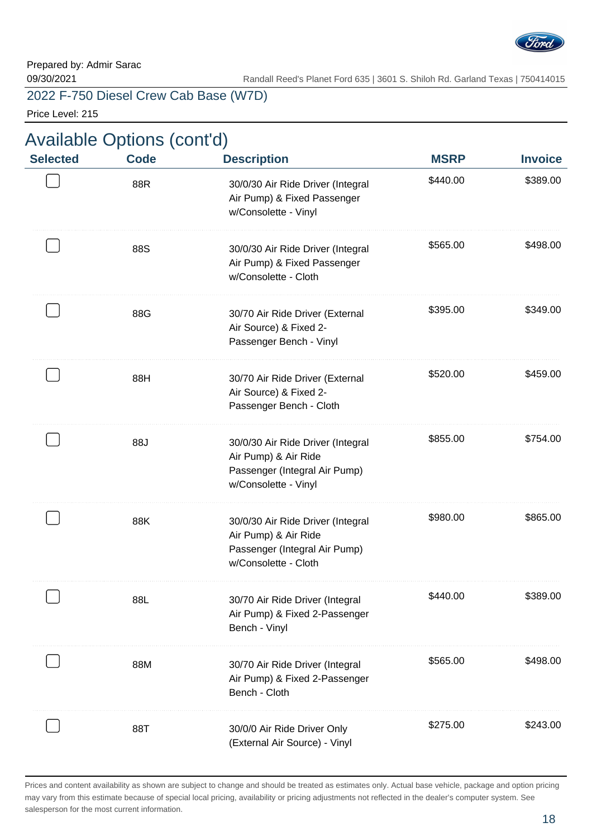

Price Level: 215

| <b>Available Options (cont'd)</b> |                    |                                                                                                                    |                         |                            |
|-----------------------------------|--------------------|--------------------------------------------------------------------------------------------------------------------|-------------------------|----------------------------|
| <b>Selected</b>                   | <b>Code</b><br>88R | <b>Description</b><br>30/0/30 Air Ride Driver (Integral<br>Air Pump) & Fixed Passenger<br>w/Consolette - Vinyl     | <b>MSRP</b><br>\$440.00 | <b>Invoice</b><br>\$389.00 |
|                                   | 88S                | 30/0/30 Air Ride Driver (Integral<br>Air Pump) & Fixed Passenger<br>w/Consolette - Cloth                           | \$565.00                | \$498.00                   |
|                                   | 88G                | 30/70 Air Ride Driver (External<br>Air Source) & Fixed 2-<br>Passenger Bench - Vinyl                               | \$395.00                | \$349.00                   |
|                                   | 88H                | 30/70 Air Ride Driver (External<br>Air Source) & Fixed 2-<br>Passenger Bench - Cloth                               | \$520.00                | \$459.00                   |
|                                   | 88J                | 30/0/30 Air Ride Driver (Integral<br>Air Pump) & Air Ride<br>Passenger (Integral Air Pump)<br>w/Consolette - Vinyl | \$855.00                | \$754.00                   |
|                                   | 88K                | 30/0/30 Air Ride Driver (Integral<br>Air Pump) & Air Ride<br>Passenger (Integral Air Pump)<br>w/Consolette - Cloth | \$980.00                | \$865.00                   |
|                                   | 88L                | 30/70 Air Ride Driver (Integral<br>Air Pump) & Fixed 2-Passenger<br>Bench - Vinyl                                  | \$440.00                | \$389.00                   |
|                                   | 88M                | 30/70 Air Ride Driver (Integral<br>Air Pump) & Fixed 2-Passenger<br>Bench - Cloth                                  | \$565.00                | \$498.00                   |
|                                   | 88T                | 30/0/0 Air Ride Driver Only<br>(External Air Source) - Vinyl                                                       | \$275.00                | \$243.00                   |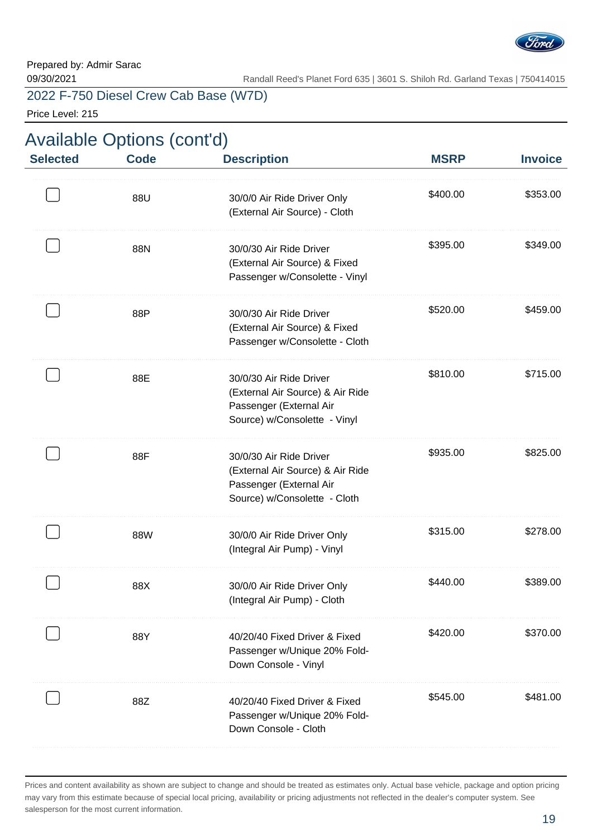

Price Level: 215

| <b>Selected</b> | <b>Code</b> | <b>Description</b>                                                                                                     | <b>MSRP</b> | <b>Invoice</b> |
|-----------------|-------------|------------------------------------------------------------------------------------------------------------------------|-------------|----------------|
|                 | 88U         | 30/0/0 Air Ride Driver Only<br>(External Air Source) - Cloth                                                           | \$400.00    | \$353.00       |
|                 | 88N         | 30/0/30 Air Ride Driver<br>(External Air Source) & Fixed<br>Passenger w/Consolette - Vinyl                             | \$395.00    | \$349.00       |
|                 | 88P         | 30/0/30 Air Ride Driver<br>(External Air Source) & Fixed<br>Passenger w/Consolette - Cloth                             | \$520.00    | \$459.00       |
|                 | 88E         | 30/0/30 Air Ride Driver<br>(External Air Source) & Air Ride<br>Passenger (External Air<br>Source) w/Consolette - Vinyl | \$810.00    | \$715.00       |
|                 | 88F         | 30/0/30 Air Ride Driver<br>(External Air Source) & Air Ride<br>Passenger (External Air<br>Source) w/Consolette - Cloth | \$935.00    | \$825.00       |
|                 | 88W         | 30/0/0 Air Ride Driver Only<br>(Integral Air Pump) - Vinyl                                                             | \$315.00    | \$278.00       |
|                 | 88X         | 30/0/0 Air Ride Driver Only<br>(Integral Air Pump) - Cloth                                                             | \$440.00    | \$389.00       |
|                 | 88Y         | 40/20/40 Fixed Driver & Fixed<br>Passenger w/Unique 20% Fold-<br>Down Console - Vinyl                                  | \$420.00    | \$370.00       |
|                 | 88Z         | 40/20/40 Fixed Driver & Fixed<br>Passenger w/Unique 20% Fold-<br>Down Console - Cloth                                  | \$545.00    | \$481.00       |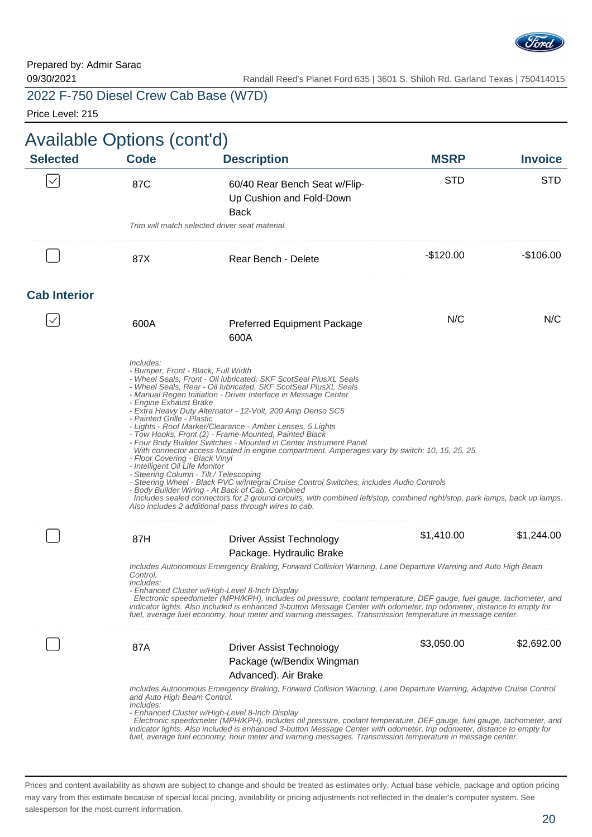

Price Level: 215

| <b>Available Options (cont'd)</b><br><b>Selected</b> | <b>Code</b>                                                                                                                                                                                                                                                                                                                                                                                                                                                                                                                                                                                                                         | <b>Description</b>                                                                                                                                                                                                                                                                                                                                                                                                                                                                                                                                                                                                                                                                                                                                                                                                                                  | <b>MSRP</b> | <b>Invoice</b> |
|------------------------------------------------------|-------------------------------------------------------------------------------------------------------------------------------------------------------------------------------------------------------------------------------------------------------------------------------------------------------------------------------------------------------------------------------------------------------------------------------------------------------------------------------------------------------------------------------------------------------------------------------------------------------------------------------------|-----------------------------------------------------------------------------------------------------------------------------------------------------------------------------------------------------------------------------------------------------------------------------------------------------------------------------------------------------------------------------------------------------------------------------------------------------------------------------------------------------------------------------------------------------------------------------------------------------------------------------------------------------------------------------------------------------------------------------------------------------------------------------------------------------------------------------------------------------|-------------|----------------|
| $\checkmark$                                         | 87C                                                                                                                                                                                                                                                                                                                                                                                                                                                                                                                                                                                                                                 | 60/40 Rear Bench Seat w/Flip-<br>Up Cushion and Fold-Down<br><b>Back</b>                                                                                                                                                                                                                                                                                                                                                                                                                                                                                                                                                                                                                                                                                                                                                                            | <b>STD</b>  | <b>STD</b>     |
|                                                      | Trim will match selected driver seat material.                                                                                                                                                                                                                                                                                                                                                                                                                                                                                                                                                                                      |                                                                                                                                                                                                                                                                                                                                                                                                                                                                                                                                                                                                                                                                                                                                                                                                                                                     |             |                |
|                                                      | 87X                                                                                                                                                                                                                                                                                                                                                                                                                                                                                                                                                                                                                                 | Rear Bench - Delete                                                                                                                                                                                                                                                                                                                                                                                                                                                                                                                                                                                                                                                                                                                                                                                                                                 | -\$120.00   | -\$106.00      |
| <b>Cab Interior</b>                                  |                                                                                                                                                                                                                                                                                                                                                                                                                                                                                                                                                                                                                                     |                                                                                                                                                                                                                                                                                                                                                                                                                                                                                                                                                                                                                                                                                                                                                                                                                                                     |             |                |
|                                                      | 600A                                                                                                                                                                                                                                                                                                                                                                                                                                                                                                                                                                                                                                | <b>Preferred Equipment Package</b><br>600A                                                                                                                                                                                                                                                                                                                                                                                                                                                                                                                                                                                                                                                                                                                                                                                                          | N/C         | N/C            |
|                                                      | Includes:<br>- Bumper, Front - Black, Full Width<br>- Engine Exhaust Brake<br>- Painted Grille - Plastic<br>- Floor Covering - Black Vinyl<br>- Intelligent Oil Life Monitor<br>- Steering Column - Tilt / Telescoping<br>- Body Builder Wiring - At Back of Cab, Combined                                                                                                                                                                                                                                                                                                                                                          | - Wheel Seals, Front - Oil lubricated, SKF ScotSeal PlusXL Seals<br>- Wheel Seals, Rear - Oil lubricated, SKF ScotSeal PlusXL Seals<br>- Manual Regen Initiation - Driver Interface in Message Center<br>- Extra Heavy Duty Alternator - 12-Volt, 200 Amp Denso SC5<br>- Lights - Roof Marker/Clearance - Amber Lenses, 5 Lights<br>- Tow Hooks, Front (2) - Frame-Mounted, Painted Black<br>- Four Body Builder Switches - Mounted in Center Instrument Panel<br>With connector access located in engine compartment. Amperages vary by switch: 10, 15, 25, 25.<br>- Steering Wheel - Black PVC w/Integral Cruise Control Switches, includes Audio Controls<br>Includes sealed connectors for 2 ground circuits, with combined left/stop, combined right/stop, park lamps, back up lamps.<br>Also includes 2 additional pass through wires to cab. |             |                |
|                                                      | 87H                                                                                                                                                                                                                                                                                                                                                                                                                                                                                                                                                                                                                                 | <b>Driver Assist Technology</b>                                                                                                                                                                                                                                                                                                                                                                                                                                                                                                                                                                                                                                                                                                                                                                                                                     | \$1,410.00  | \$1,244.00     |
|                                                      | Control.<br>Includes:<br>- Enhanced Cluster w/High-Level 8-Inch Display                                                                                                                                                                                                                                                                                                                                                                                                                                                                                                                                                             | Package. Hydraulic Brake<br>Includes Autonomous Emergency Braking, Forward Collision Warning, Lane Departure Warning and Auto High Beam<br>Electronic speedometer (MPH/KPH), includes oil pressure, coolant temperature, DEF gauge, fuel gauge, tachometer, and<br>indicator lights. Also included is enhanced 3-button Message Center with odometer, trip odometer, distance to empty for<br>fuel, average fuel economy, hour meter and warning messages. Transmission temperature in message center.                                                                                                                                                                                                                                                                                                                                              |             |                |
|                                                      | 87A                                                                                                                                                                                                                                                                                                                                                                                                                                                                                                                                                                                                                                 | <b>Driver Assist Technology</b>                                                                                                                                                                                                                                                                                                                                                                                                                                                                                                                                                                                                                                                                                                                                                                                                                     | \$3,050.00  | \$2,692.00     |
|                                                      | Package (w/Bendix Wingman<br>Advanced). Air Brake<br>Includes Autonomous Emergency Braking, Forward Collision Warning, Lane Departure Warning, Adaptive Cruise Control<br>and Auto High Beam Control.<br>Includes:<br>- Enhanced Cluster w/High-Level 8-Inch Display<br>Electronic speedometer (MPH/KPH), includes oil pressure, coolant temperature, DEF gauge, fuel gauge, tachometer, and<br>indicator lights. Also included is enhanced 3-button Message Center with odometer, trip odometer, distance to empty for<br>fuel, average fuel economy, hour meter and warning messages. Transmission temperature in message center. |                                                                                                                                                                                                                                                                                                                                                                                                                                                                                                                                                                                                                                                                                                                                                                                                                                                     |             |                |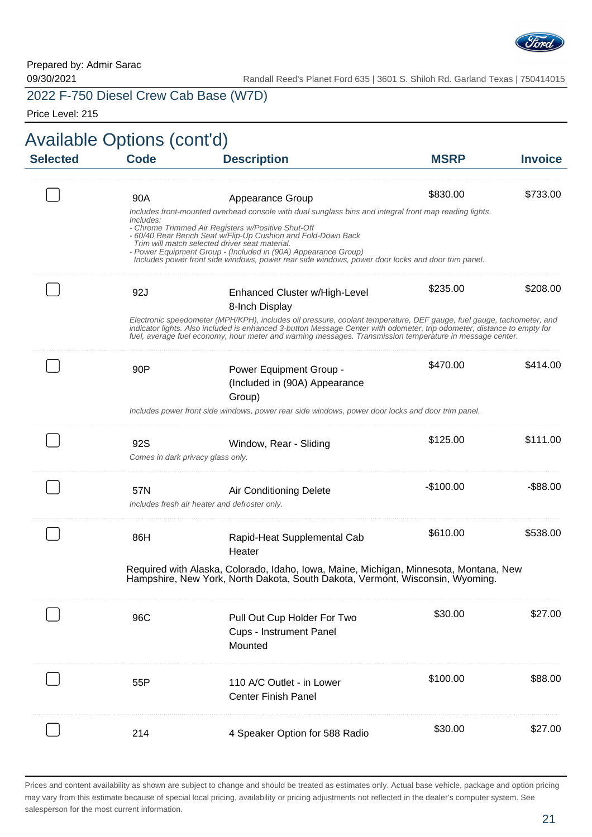

09/30/2021 Randall Reed's Planet Ford 635 | 3601 S. Shiloh Rd. Garland Texas | 750414015

2022 F-750 Diesel Crew Cab Base (W7D)

Price Level: 215

| <b>Selected</b> | <b>Code</b>                              | <b>Description</b>                                                                                                                                                                                                                                                                                                                                          | <b>MSRP</b> | <b>Invoice</b> |
|-----------------|------------------------------------------|-------------------------------------------------------------------------------------------------------------------------------------------------------------------------------------------------------------------------------------------------------------------------------------------------------------------------------------------------------------|-------------|----------------|
|                 | 90A                                      | Appearance Group<br>Includes front-mounted overhead console with dual sunglass bins and integral front map reading lights.                                                                                                                                                                                                                                  | \$830.00    | \$733.00       |
|                 | Includes:                                | - Chrome Trimmed Air Registers w/Positive Shut-Off<br>- 60/40 Rear Bench Seat w/Flip-Up Cushion and Fold-Down Back<br>Trim will match selected driver seat material.<br>- Power Equipment Group - (Included in (90A) Appearance Group)<br>Includes power front side windows, power rear side windows, power door locks and door trim panel.                 |             |                |
|                 | 92J                                      | Enhanced Cluster w/High-Level<br>8-Inch Display                                                                                                                                                                                                                                                                                                             | \$235.00    | \$208.00       |
|                 |                                          | Electronic speedometer (MPH/KPH), includes oil pressure, coolant temperature, DEF gauge, fuel gauge, tachometer, and<br>indicator lights. Also included is enhanced 3-button Message Center with odometer, trip odometer, distance to empty for<br>fuel, average fuel economy, hour meter and warning messages. Transmission temperature in message center. |             |                |
|                 | 90P                                      | Power Equipment Group -<br>(Included in (90A) Appearance<br>Group)                                                                                                                                                                                                                                                                                          | \$470.00    | \$414.00       |
|                 |                                          | Includes power front side windows, power rear side windows, power door locks and door trim panel.                                                                                                                                                                                                                                                           |             |                |
|                 | 92S<br>Comes in dark privacy glass only. | Window, Rear - Sliding                                                                                                                                                                                                                                                                                                                                      | \$125.00    | \$111.00       |
|                 | 57N                                      | Air Conditioning Delete<br>Includes fresh air heater and defroster only.                                                                                                                                                                                                                                                                                    | $-$100.00$  | -\$88.00       |
|                 | 86H                                      | Rapid-Heat Supplemental Cab<br>Heater                                                                                                                                                                                                                                                                                                                       | \$610.00    | \$538.00       |
|                 |                                          | Required with Alaska, Colorado, Idaho, Iowa, Maine, Michigan, Minnesota, Montana, New<br>Hampshire, New York, North Dakota, South Dakota, Vermont, Wisconsin, Wyoming.                                                                                                                                                                                      |             |                |
|                 | 96C                                      | Pull Out Cup Holder For Two<br><b>Cups - Instrument Panel</b><br>Mounted                                                                                                                                                                                                                                                                                    | \$30.00     | \$27.00        |
|                 | 55P                                      | 110 A/C Outlet - in Lower<br><b>Center Finish Panel</b>                                                                                                                                                                                                                                                                                                     | \$100.00    | \$88.00        |
|                 | 214                                      | 4 Speaker Option for 588 Radio                                                                                                                                                                                                                                                                                                                              | \$30.00     | \$27.00        |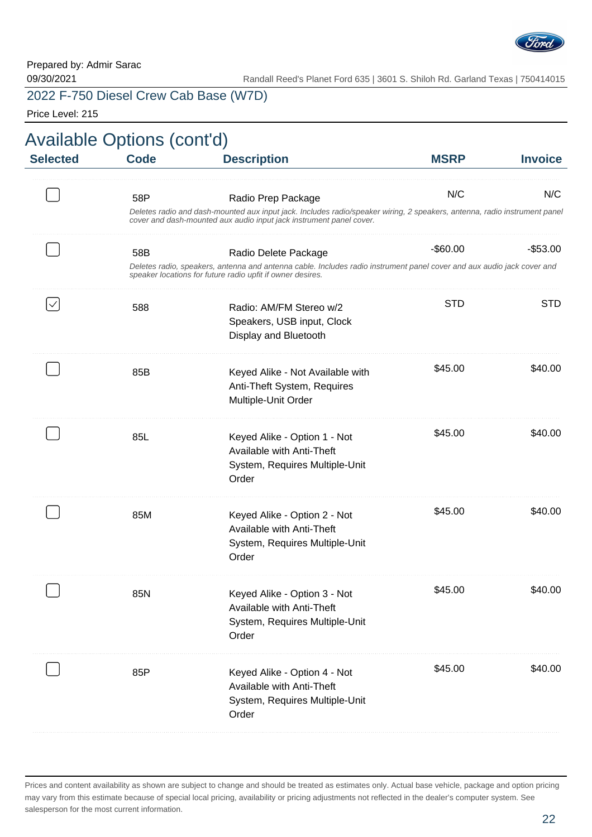

Price Level: 215

| <b>Invoice</b> | <b>MSRP</b> | <b>Description</b>                                                                                                                                                                                                     | <b>Code</b> | <b>Selected</b> |
|----------------|-------------|------------------------------------------------------------------------------------------------------------------------------------------------------------------------------------------------------------------------|-------------|-----------------|
| N/C            | N/C         | Radio Prep Package<br>Deletes radio and dash-mounted aux input jack. Includes radio/speaker wiring, 2 speakers, antenna, radio instrument panel<br>cover and dash-mounted aux audio input jack instrument panel cover. | 58P         |                 |
| $-$53.00$      | $-$ \$60.00 | Radio Delete Package<br>Deletes radio, speakers, antenna and antenna cable. Includes radio instrument panel cover and aux audio jack cover and<br>speaker locations for future radio upfit if owner desires.           | 58B         |                 |
| <b>STD</b>     | <b>STD</b>  | Radio: AM/FM Stereo w/2<br>Speakers, USB input, Clock<br>Display and Bluetooth                                                                                                                                         | 588         |                 |
| \$40.00        | \$45.00     | Keyed Alike - Not Available with<br>Anti-Theft System, Requires<br>Multiple-Unit Order                                                                                                                                 | 85B         |                 |
| \$40.00        | \$45.00     | Keyed Alike - Option 1 - Not<br>Available with Anti-Theft<br>System, Requires Multiple-Unit<br>Order                                                                                                                   | 85L         |                 |
| \$40.00        | \$45.00     | Keyed Alike - Option 2 - Not<br>Available with Anti-Theft<br>System, Requires Multiple-Unit<br>Order                                                                                                                   | 85M         |                 |
| \$40.00        | \$45.00     | Keyed Alike - Option 3 - Not<br>Available with Anti-Theft<br>System, Requires Multiple-Unit<br>Order                                                                                                                   | 85N         |                 |
| \$40.00        | \$45.00     | Keyed Alike - Option 4 - Not<br>Available with Anti-Theft<br>System, Requires Multiple-Unit<br>Order                                                                                                                   | 85P         |                 |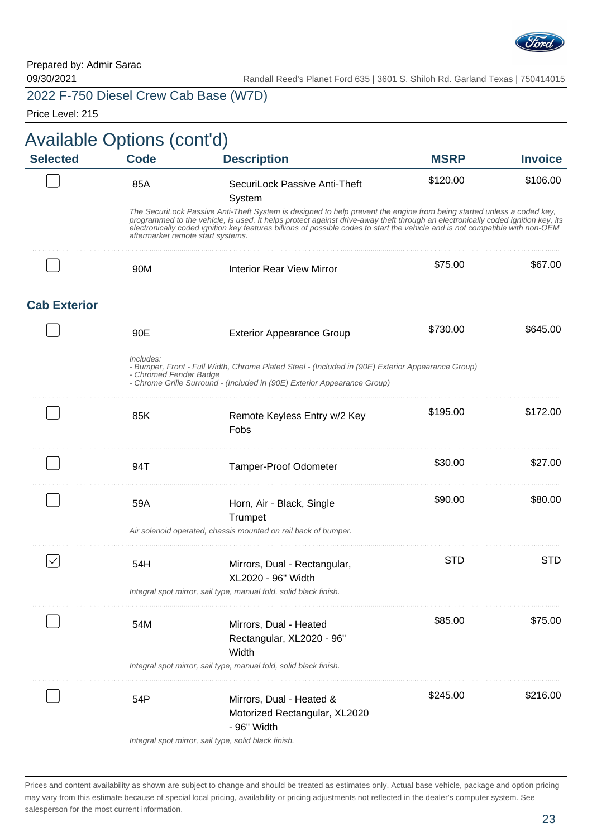

09/30/2021 Randall Reed's Planet Ford 635 | 3601 S. Shiloh Rd. Garland Texas | 750414015

# 2022 F-750 Diesel Crew Cab Base (W7D)

Price Level: 215

| <b>Selected</b>     | <b>Available Options (cont'd)</b><br><b>Code</b> | <b>Description</b>                                                                                                                                                                                                                                                                                                                                                                         | <b>MSRP</b> | <b>Invoice</b> |
|---------------------|--------------------------------------------------|--------------------------------------------------------------------------------------------------------------------------------------------------------------------------------------------------------------------------------------------------------------------------------------------------------------------------------------------------------------------------------------------|-------------|----------------|
|                     |                                                  |                                                                                                                                                                                                                                                                                                                                                                                            |             |                |
|                     | 85A                                              | SecuriLock Passive Anti-Theft<br>System                                                                                                                                                                                                                                                                                                                                                    | \$120.00    | \$106.00       |
|                     | aftermarket remote start systems.                | The SecuriLock Passive Anti-Theft System is designed to help prevent the engine from being started unless a coded key,<br>programmed to the vehicle, is used. It helps protect against drive-away theft through an electronically coded ignition key, its<br>electronically coded ignition key features billions of possible codes to start the vehicle and is not compatible with non-OEM |             |                |
|                     | 90M                                              | <b>Interior Rear View Mirror</b>                                                                                                                                                                                                                                                                                                                                                           | \$75.00     | \$67.00        |
| <b>Cab Exterior</b> |                                                  |                                                                                                                                                                                                                                                                                                                                                                                            |             |                |
|                     | 90E                                              | <b>Exterior Appearance Group</b>                                                                                                                                                                                                                                                                                                                                                           | \$730.00    | \$645.00       |
|                     | Includes:<br>- Chromed Fender Badge              | - Bumper, Front - Full Width, Chrome Plated Steel - (Included in (90E) Exterior Appearance Group)<br>- Chrome Grille Surround - (Included in (90E) Exterior Appearance Group)                                                                                                                                                                                                              |             |                |
|                     | 85K                                              | Remote Keyless Entry w/2 Key<br>Fobs                                                                                                                                                                                                                                                                                                                                                       | \$195.00    | \$172.00       |
|                     | 94T                                              | <b>Tamper-Proof Odometer</b>                                                                                                                                                                                                                                                                                                                                                               | \$30.00     | \$27.00        |
|                     | 59A                                              | Horn, Air - Black, Single<br>Trumpet                                                                                                                                                                                                                                                                                                                                                       | \$90.00     | \$80.00        |
|                     |                                                  | Air solenoid operated, chassis mounted on rail back of bumper.                                                                                                                                                                                                                                                                                                                             |             |                |
|                     | 54H                                              | Mirrors, Dual - Rectangular,<br>XL2020 - 96" Width                                                                                                                                                                                                                                                                                                                                         | <b>STD</b>  | <b>STD</b>     |
|                     |                                                  | Integral spot mirror, sail type, manual fold, solid black finish.                                                                                                                                                                                                                                                                                                                          |             |                |
|                     | 54M                                              | Mirrors, Dual - Heated<br>Rectangular, XL2020 - 96"<br>Width                                                                                                                                                                                                                                                                                                                               | \$85.00     | \$75.00        |
|                     |                                                  | Integral spot mirror, sail type, manual fold, solid black finish.                                                                                                                                                                                                                                                                                                                          |             |                |
|                     | 54P                                              | Mirrors, Dual - Heated &<br>Motorized Rectangular, XL2020<br>- 96" Width                                                                                                                                                                                                                                                                                                                   | \$245.00    | \$216.00       |
|                     |                                                  | Integral spot mirror, sail type, solid black finish.                                                                                                                                                                                                                                                                                                                                       |             |                |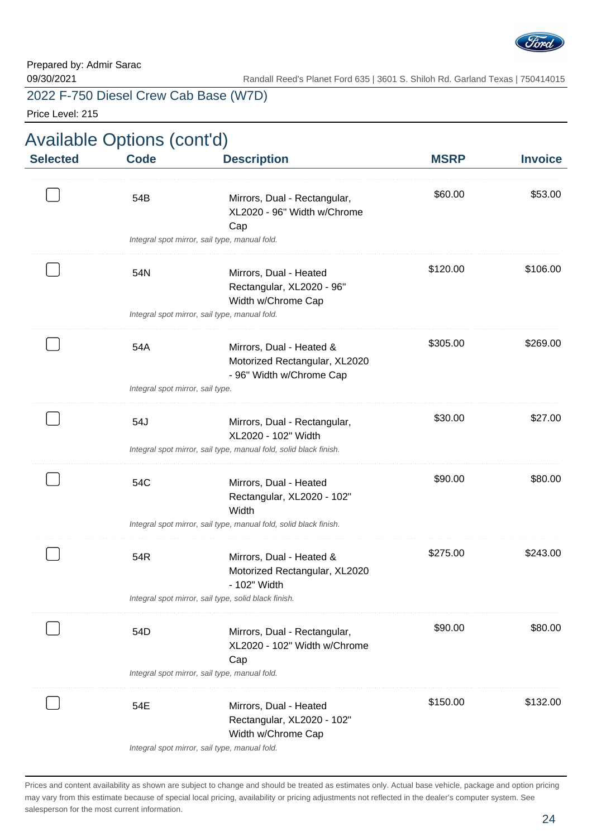

Price Level: 215

|                 | <b>Available Options (cont'd)</b> |                                                                                                                            |             |                |
|-----------------|-----------------------------------|----------------------------------------------------------------------------------------------------------------------------|-------------|----------------|
| <b>Selected</b> | <b>Code</b>                       | <b>Description</b>                                                                                                         | <b>MSRP</b> | <b>Invoice</b> |
|                 | 54B                               | Mirrors, Dual - Rectangular,<br>XL2020 - 96" Width w/Chrome<br>Cap<br>Integral spot mirror, sail type, manual fold.        | \$60.00     | \$53.00        |
|                 | 54N                               | Mirrors, Dual - Heated<br>Rectangular, XL2020 - 96"<br>Width w/Chrome Cap<br>Integral spot mirror, sail type, manual fold. | \$120.00    | \$106.00       |
|                 | 54A                               | Mirrors, Dual - Heated &<br>Motorized Rectangular, XL2020<br>- 96" Width w/Chrome Cap                                      | \$305.00    | \$269.00       |
|                 | Integral spot mirror, sail type.  |                                                                                                                            |             |                |
|                 | 54J                               | Mirrors, Dual - Rectangular,<br>XL2020 - 102" Width                                                                        | \$30.00     | \$27.00        |
|                 |                                   | Integral spot mirror, sail type, manual fold, solid black finish.                                                          |             |                |
|                 | 54C                               | Mirrors, Dual - Heated<br>Rectangular, XL2020 - 102"<br>Width                                                              | \$90.00     | \$80.00        |
|                 |                                   | Integral spot mirror, sail type, manual fold, solid black finish.                                                          |             |                |
|                 | 54R                               | Mirrors, Dual - Heated &<br>Motorized Rectangular, XL2020<br>- 102" Width                                                  | \$275.00    | \$243.00       |
|                 |                                   | Integral spot mirror, sail type, solid black finish.                                                                       |             |                |
|                 | 54D                               | Mirrors, Dual - Rectangular,<br>XL2020 - 102" Width w/Chrome<br>Cap                                                        | \$90.00     | \$80.00        |
|                 |                                   | Integral spot mirror, sail type, manual fold.                                                                              |             |                |
|                 | 54E                               | Mirrors, Dual - Heated<br>Rectangular, XL2020 - 102"<br>Width w/Chrome Cap                                                 | \$150.00    | \$132.00       |
|                 |                                   | Integral spot mirror, sail type, manual fold.                                                                              |             |                |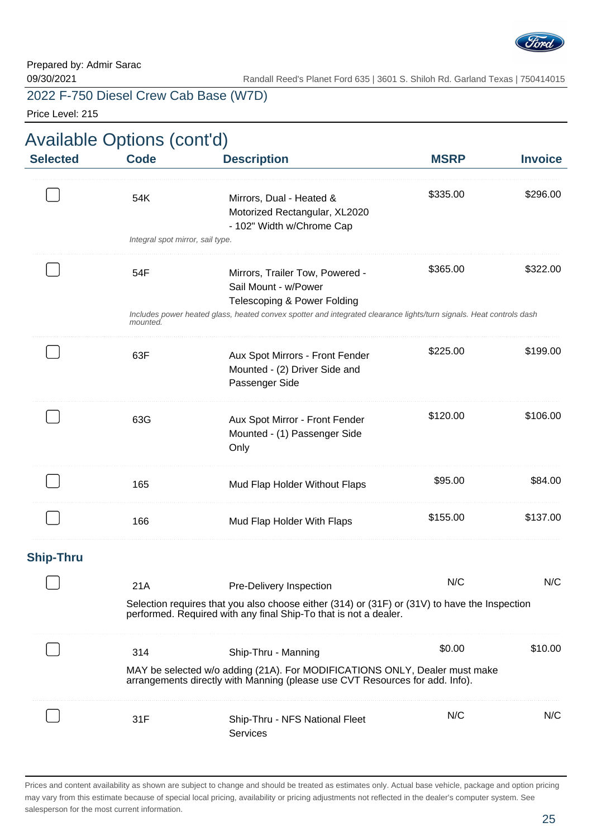

Price Level: 215

| Available Options (cont'd) |                                                                                                                                                                   |                                                                                                                                                            |             |                |  |
|----------------------------|-------------------------------------------------------------------------------------------------------------------------------------------------------------------|------------------------------------------------------------------------------------------------------------------------------------------------------------|-------------|----------------|--|
| <b>Selected</b>            | <b>Code</b>                                                                                                                                                       | <b>Description</b>                                                                                                                                         | <b>MSRP</b> | <b>Invoice</b> |  |
|                            | 54K<br>Integral spot mirror, sail type.                                                                                                                           | Mirrors, Dual - Heated &<br>Motorized Rectangular, XL2020<br>- 102" Width w/Chrome Cap                                                                     | \$335.00    | \$296.00       |  |
|                            |                                                                                                                                                                   |                                                                                                                                                            |             |                |  |
|                            | 54F                                                                                                                                                               | Mirrors, Trailer Tow, Powered -<br>Sail Mount - w/Power<br>Telescoping & Power Folding                                                                     | \$365.00    | \$322.00       |  |
|                            | mounted.                                                                                                                                                          | Includes power heated glass, heated convex spotter and integrated clearance lights/turn signals. Heat controls dash                                        |             |                |  |
|                            | 63F                                                                                                                                                               | Aux Spot Mirrors - Front Fender<br>Mounted - (2) Driver Side and<br>Passenger Side                                                                         | \$225.00    | \$199.00       |  |
|                            | 63G                                                                                                                                                               | Aux Spot Mirror - Front Fender<br>Mounted - (1) Passenger Side<br>Only                                                                                     | \$120.00    | \$106.00       |  |
|                            | 165                                                                                                                                                               | Mud Flap Holder Without Flaps                                                                                                                              | \$95.00     | \$84.00        |  |
|                            | 166                                                                                                                                                               | Mud Flap Holder With Flaps                                                                                                                                 | \$155.00    | \$137.00       |  |
| <b>Ship-Thru</b>           |                                                                                                                                                                   |                                                                                                                                                            |             |                |  |
|                            | 21A                                                                                                                                                               | Pre-Delivery Inspection                                                                                                                                    | N/C         | N/C            |  |
|                            | Selection requires that you also choose either (314) or (31F) or (31V) to have the Inspection<br>performed. Required with any final Ship-To that is not a dealer. |                                                                                                                                                            |             |                |  |
|                            | 314                                                                                                                                                               | Ship-Thru - Manning                                                                                                                                        | \$0.00      | \$10.00        |  |
|                            |                                                                                                                                                                   | MAY be selected w/o adding (21A). For MODIFICATIONS ONLY, Dealer must make<br>arrangements directly with Manning (please use CVT Resources for add. Info). |             |                |  |
|                            | 31F                                                                                                                                                               | Ship-Thru - NFS National Fleet<br>Services                                                                                                                 | N/C         | N/C            |  |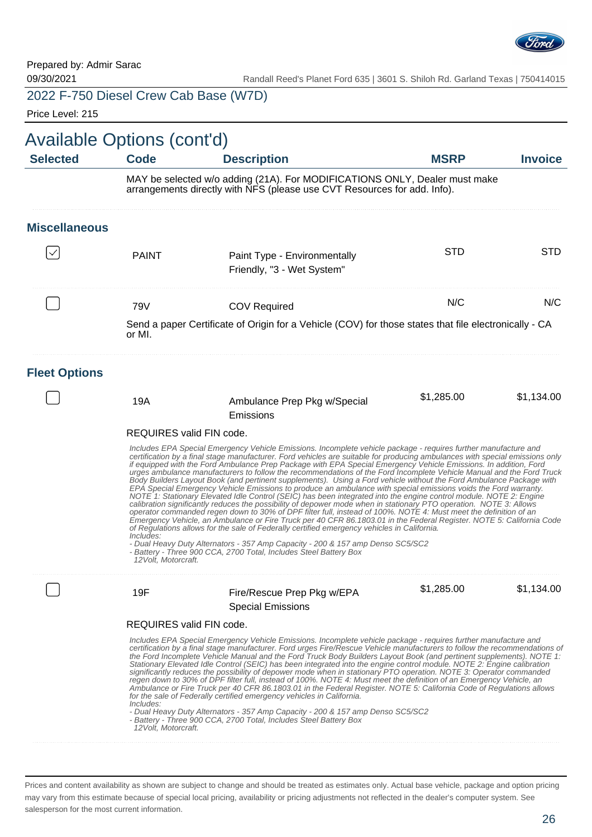

Price Level: 215

| Available Options (cont'd)<br><b>Selected</b> | <b>Code</b>                                                                                                                                                                                                                                                                                                                                                                                                                                                                                                                                                                                                                                                                                                                                                                                                                                                                                                                                                                                                                                                                                                                                                                                                                                                                                                                                      | <b>Description</b>                                                                                                                                                                                                                                                                                                                                                                                                                                                                                                                                                                                                                                                                                                                                                                                                                                                                                                                                                                                                                                                                                   | <b>MSRP</b> | <b>Invoice</b> |  |
|-----------------------------------------------|--------------------------------------------------------------------------------------------------------------------------------------------------------------------------------------------------------------------------------------------------------------------------------------------------------------------------------------------------------------------------------------------------------------------------------------------------------------------------------------------------------------------------------------------------------------------------------------------------------------------------------------------------------------------------------------------------------------------------------------------------------------------------------------------------------------------------------------------------------------------------------------------------------------------------------------------------------------------------------------------------------------------------------------------------------------------------------------------------------------------------------------------------------------------------------------------------------------------------------------------------------------------------------------------------------------------------------------------------|------------------------------------------------------------------------------------------------------------------------------------------------------------------------------------------------------------------------------------------------------------------------------------------------------------------------------------------------------------------------------------------------------------------------------------------------------------------------------------------------------------------------------------------------------------------------------------------------------------------------------------------------------------------------------------------------------------------------------------------------------------------------------------------------------------------------------------------------------------------------------------------------------------------------------------------------------------------------------------------------------------------------------------------------------------------------------------------------------|-------------|----------------|--|
|                                               | MAY be selected w/o adding (21A). For MODIFICATIONS ONLY, Dealer must make arrangements directly with NFS (please use CVT Resources for add. Info).                                                                                                                                                                                                                                                                                                                                                                                                                                                                                                                                                                                                                                                                                                                                                                                                                                                                                                                                                                                                                                                                                                                                                                                              |                                                                                                                                                                                                                                                                                                                                                                                                                                                                                                                                                                                                                                                                                                                                                                                                                                                                                                                                                                                                                                                                                                      |             |                |  |
| <b>Miscellaneous</b>                          |                                                                                                                                                                                                                                                                                                                                                                                                                                                                                                                                                                                                                                                                                                                                                                                                                                                                                                                                                                                                                                                                                                                                                                                                                                                                                                                                                  |                                                                                                                                                                                                                                                                                                                                                                                                                                                                                                                                                                                                                                                                                                                                                                                                                                                                                                                                                                                                                                                                                                      |             |                |  |
|                                               | <b>PAINT</b>                                                                                                                                                                                                                                                                                                                                                                                                                                                                                                                                                                                                                                                                                                                                                                                                                                                                                                                                                                                                                                                                                                                                                                                                                                                                                                                                     | Paint Type - Environmentally<br>Friendly, "3 - Wet System"                                                                                                                                                                                                                                                                                                                                                                                                                                                                                                                                                                                                                                                                                                                                                                                                                                                                                                                                                                                                                                           | <b>STD</b>  | <b>STD</b>     |  |
|                                               | 79V                                                                                                                                                                                                                                                                                                                                                                                                                                                                                                                                                                                                                                                                                                                                                                                                                                                                                                                                                                                                                                                                                                                                                                                                                                                                                                                                              | <b>COV Required</b>                                                                                                                                                                                                                                                                                                                                                                                                                                                                                                                                                                                                                                                                                                                                                                                                                                                                                                                                                                                                                                                                                  | N/C         | N/C            |  |
|                                               | Send a paper Certificate of Origin for a Vehicle (COV) for those states that file electronically - CA<br>or MI.                                                                                                                                                                                                                                                                                                                                                                                                                                                                                                                                                                                                                                                                                                                                                                                                                                                                                                                                                                                                                                                                                                                                                                                                                                  |                                                                                                                                                                                                                                                                                                                                                                                                                                                                                                                                                                                                                                                                                                                                                                                                                                                                                                                                                                                                                                                                                                      |             |                |  |
| <b>Fleet Options</b>                          |                                                                                                                                                                                                                                                                                                                                                                                                                                                                                                                                                                                                                                                                                                                                                                                                                                                                                                                                                                                                                                                                                                                                                                                                                                                                                                                                                  |                                                                                                                                                                                                                                                                                                                                                                                                                                                                                                                                                                                                                                                                                                                                                                                                                                                                                                                                                                                                                                                                                                      |             |                |  |
|                                               | 19A                                                                                                                                                                                                                                                                                                                                                                                                                                                                                                                                                                                                                                                                                                                                                                                                                                                                                                                                                                                                                                                                                                                                                                                                                                                                                                                                              | Ambulance Prep Pkg w/Special<br>Emissions                                                                                                                                                                                                                                                                                                                                                                                                                                                                                                                                                                                                                                                                                                                                                                                                                                                                                                                                                                                                                                                            | \$1,285.00  | \$1,134.00     |  |
|                                               | REQUIRES valid FIN code.                                                                                                                                                                                                                                                                                                                                                                                                                                                                                                                                                                                                                                                                                                                                                                                                                                                                                                                                                                                                                                                                                                                                                                                                                                                                                                                         |                                                                                                                                                                                                                                                                                                                                                                                                                                                                                                                                                                                                                                                                                                                                                                                                                                                                                                                                                                                                                                                                                                      |             |                |  |
|                                               | Includes EPA Special Emergency Vehicle Emissions. Incomplete vehicle package - requires further manufacture and<br>certification by a final stage manufacturer. Ford vehicles are suitable for producing ambulances with special emissions only<br>if equipped with the Ford Ambulance Prep Package with EPA Special Emergency Vehicle Emissions. In addition, Ford<br>urges ambulance manufacturers to follow the recommendations of the Ford Incomplete Vehicle Manual and the Ford Truck<br>Body Builders Layout Book (and pertinent supplements). Using a Ford vehicle without the Ford Ambulance Package with<br>EPA Special Emergency Vehicle Emissions to produce an ambulance with special emissions voids the Ford warranty.<br>NOTE 1: Stationary Elevated Idle Control (SEIC) has been integrated into the engine control module. NOTE 2: Engine<br>calibration significantly reduces the possibility of depower mode when in stationary PTO operation. NOTE 3: Allows<br>operator commanded regen down to 30% of DPF filter full, instead of 100%. NOTE 4: Must meet the definition of an<br>Emergency Vehicle, an Ambulance or Fire Truck per 40 CFR 86.1803.01 in the Federal Register. NOTE 5: California Code<br>of Regulations allows for the sale of Federally certified emergency vehicles in California.<br><i>Includes:</i> |                                                                                                                                                                                                                                                                                                                                                                                                                                                                                                                                                                                                                                                                                                                                                                                                                                                                                                                                                                                                                                                                                                      |             |                |  |
|                                               | 12 Volt. Motorcraft.                                                                                                                                                                                                                                                                                                                                                                                                                                                                                                                                                                                                                                                                                                                                                                                                                                                                                                                                                                                                                                                                                                                                                                                                                                                                                                                             | - Dual Heavy Duty Alternators - 357 Amp Capacity - 200 & 157 amp Denso SC5/SC2<br>- Battery - Three 900 CCA, 2700 Total, Includes Steel Battery Box                                                                                                                                                                                                                                                                                                                                                                                                                                                                                                                                                                                                                                                                                                                                                                                                                                                                                                                                                  |             |                |  |
|                                               | 19F                                                                                                                                                                                                                                                                                                                                                                                                                                                                                                                                                                                                                                                                                                                                                                                                                                                                                                                                                                                                                                                                                                                                                                                                                                                                                                                                              | Fire/Rescue Prep Pkg w/EPA                                                                                                                                                                                                                                                                                                                                                                                                                                                                                                                                                                                                                                                                                                                                                                                                                                                                                                                                                                                                                                                                           | \$1,285.00  | \$1,134.00     |  |
|                                               |                                                                                                                                                                                                                                                                                                                                                                                                                                                                                                                                                                                                                                                                                                                                                                                                                                                                                                                                                                                                                                                                                                                                                                                                                                                                                                                                                  | <b>Special Emissions</b>                                                                                                                                                                                                                                                                                                                                                                                                                                                                                                                                                                                                                                                                                                                                                                                                                                                                                                                                                                                                                                                                             |             |                |  |
|                                               | REQUIRES valid FIN code.                                                                                                                                                                                                                                                                                                                                                                                                                                                                                                                                                                                                                                                                                                                                                                                                                                                                                                                                                                                                                                                                                                                                                                                                                                                                                                                         |                                                                                                                                                                                                                                                                                                                                                                                                                                                                                                                                                                                                                                                                                                                                                                                                                                                                                                                                                                                                                                                                                                      |             |                |  |
|                                               | Includes:<br>12 Volt, Motorcraft.                                                                                                                                                                                                                                                                                                                                                                                                                                                                                                                                                                                                                                                                                                                                                                                                                                                                                                                                                                                                                                                                                                                                                                                                                                                                                                                | Includes EPA Special Emergency Vehicle Emissions. Incomplete vehicle package - requires further manufacture and<br>certification by a final stage manufacturer. Ford urges Fire/Rescue Vehicle manufacturers to follow the recommendations of<br>the Ford Incomplete Vehicle Manual and the Ford Truck Body Builders Layout Book (and pertinent supplements). NOTE 1:<br>Stationary Elevated Idle Control (SEIC) has been integrated into the engine control module. NOTE 2: Engine calibration<br>significantly reduces the possibility of depower mode when in stationary PTO operation. NOTE 3: Operator commanded<br>regen down to 30% of DPF filter full, instead of 100%. NOTE 4: Must meet the definition of an Emergency Vehicle, an<br>Ambulance or Fire Truck per 40 CFR 86.1803.01 in the Federal Register. NOTE 5: California Code of Regulations allows<br>for the sale of Federally certified emergency vehicles in California.<br>- Dual Heavy Duty Alternators - 357 Amp Capacity - 200 & 157 amp Denso SC5/SC2<br>- Battery - Three 900 CCA, 2700 Total, Includes Steel Battery Box |             |                |  |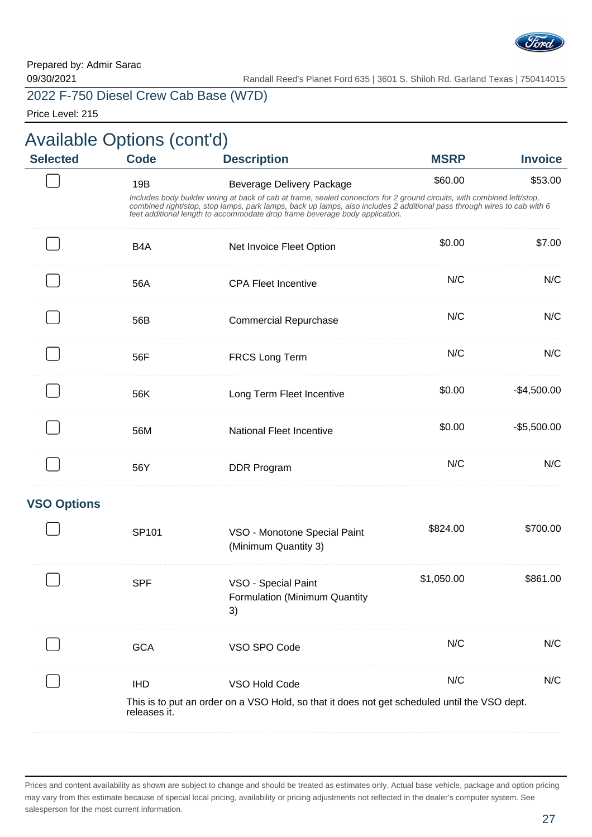

Price Level: 215

| <b>Available Options (cont'd)</b><br><b>Selected</b> | <b>Code</b>                | <b>Description</b>                                                                                                                                                                                                                                                                                                                                                    | <b>MSRP</b> | <b>Invoice</b> |
|------------------------------------------------------|----------------------------|-----------------------------------------------------------------------------------------------------------------------------------------------------------------------------------------------------------------------------------------------------------------------------------------------------------------------------------------------------------------------|-------------|----------------|
|                                                      | 19B                        | <b>Beverage Delivery Package</b><br>Includes body builder wiring at back of cab at frame, sealed connectors for 2 ground circuits, with combined left/stop,<br>combined right/stop, stop lamps, park lamps, back up lamps, also includes 2 additional pass through wires to cab with 6<br>feet additional length to accommodate drop frame beverage body application. | \$60.00     | \$53.00        |
|                                                      | B <sub>4</sub> A           | Net Invoice Fleet Option                                                                                                                                                                                                                                                                                                                                              | \$0.00      | \$7.00         |
|                                                      | 56A                        | <b>CPA Fleet Incentive</b>                                                                                                                                                                                                                                                                                                                                            | N/C         | N/C            |
|                                                      | 56B                        | <b>Commercial Repurchase</b>                                                                                                                                                                                                                                                                                                                                          | N/C         | N/C            |
|                                                      | 56F                        | <b>FRCS Long Term</b>                                                                                                                                                                                                                                                                                                                                                 | N/C         | N/C            |
|                                                      | 56K                        | Long Term Fleet Incentive                                                                                                                                                                                                                                                                                                                                             | \$0.00      | $-$4,500.00$   |
|                                                      | 56M                        | <b>National Fleet Incentive</b>                                                                                                                                                                                                                                                                                                                                       | \$0.00      | $-$5,500.00$   |
|                                                      | 56Y                        | DDR Program                                                                                                                                                                                                                                                                                                                                                           | N/C         | N/C            |
| <b>VSO Options</b>                                   |                            |                                                                                                                                                                                                                                                                                                                                                                       |             |                |
|                                                      | SP101                      | VSO - Monotone Special Paint<br>(Minimum Quantity 3)                                                                                                                                                                                                                                                                                                                  | \$824.00    | \$700.00       |
|                                                      | <b>SPF</b>                 | VSO - Special Paint<br>Formulation (Minimum Quantity<br>3)                                                                                                                                                                                                                                                                                                            | \$1,050.00  | \$861.00       |
|                                                      | <b>GCA</b>                 | VSO SPO Code                                                                                                                                                                                                                                                                                                                                                          | N/C         | N/C            |
|                                                      | <b>IHD</b><br>releases it. | VSO Hold Code<br>This is to put an order on a VSO Hold, so that it does not get scheduled until the VSO dept.                                                                                                                                                                                                                                                         | N/C         | N/C            |

Prices and content availability as shown are subject to change and should be treated as estimates only. Actual base vehicle, package and option pricing may vary from this estimate because of special local pricing, availability or pricing adjustments not reflected in the dealer's computer system. See salesperson for the most current information.